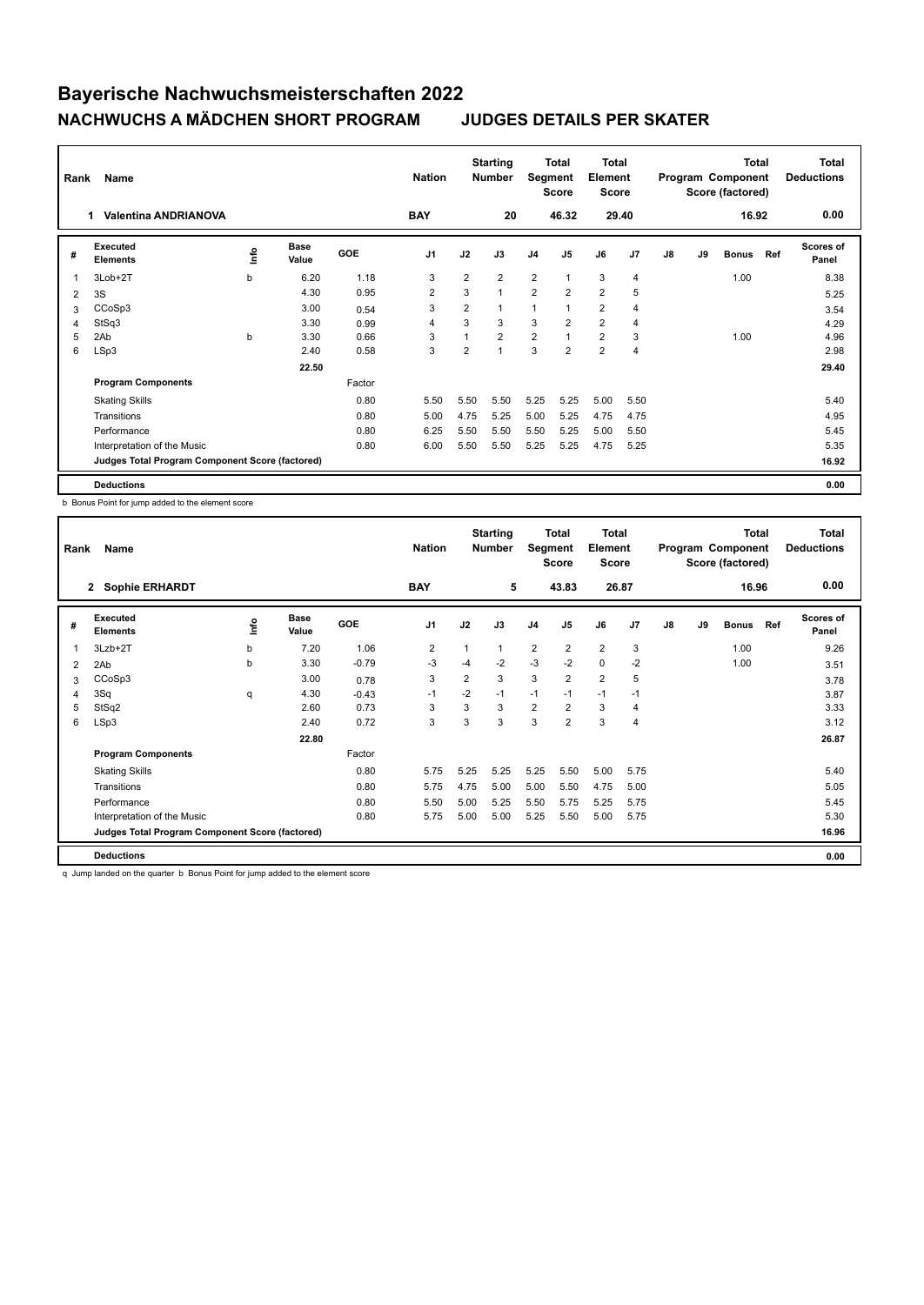| Rank                    | Name                                            |      | <b>Nation</b>        |            | <b>Starting</b><br><b>Number</b> | Segment        | Total<br><b>Score</b> | Total<br>Element<br><b>Score</b> |                |                |                | Total<br>Program Component<br>Score (factored) |    | <b>Total</b><br><b>Deductions</b> |     |                           |
|-------------------------|-------------------------------------------------|------|----------------------|------------|----------------------------------|----------------|-----------------------|----------------------------------|----------------|----------------|----------------|------------------------------------------------|----|-----------------------------------|-----|---------------------------|
|                         | <b>Valentina ANDRIANOVA</b><br>1                |      |                      |            | <b>BAY</b>                       |                | 20                    |                                  | 46.32          |                | 29.40          |                                                |    | 16.92                             |     | 0.00                      |
| #                       | Executed<br><b>Elements</b>                     | lnfo | <b>Base</b><br>Value | <b>GOE</b> | J <sub>1</sub>                   | J2             | J3                    | J <sub>4</sub>                   | J <sub>5</sub> | J6             | J <sub>7</sub> | J8                                             | J9 | <b>Bonus</b>                      | Ref | <b>Scores of</b><br>Panel |
| $\overline{\mathbf{1}}$ | 3Lob+2T                                         | b    | 6.20                 | 1.18       | 3                                | $\overline{2}$ | $\overline{2}$        | $\overline{2}$                   | $\mathbf{1}$   | 3              | $\overline{4}$ |                                                |    | 1.00                              |     | 8.38                      |
| 2                       | 3S                                              |      | 4.30                 | 0.95       | $\overline{2}$                   | 3              | 1                     | $\overline{2}$                   | $\overline{2}$ | $\overline{2}$ | 5              |                                                |    |                                   |     | 5.25                      |
| 3                       | CCoSp3                                          |      | 3.00                 | 0.54       | 3                                | $\overline{2}$ | 1                     | $\overline{1}$                   | $\mathbf{1}$   | $\overline{2}$ | $\overline{4}$ |                                                |    |                                   |     | 3.54                      |
| 4                       | StSq3                                           |      | 3.30                 | 0.99       | $\overline{4}$                   | 3              | 3                     | 3                                | $\overline{2}$ | $\overline{2}$ | $\overline{4}$ |                                                |    |                                   |     | 4.29                      |
| 5                       | 2Ab                                             | b    | 3.30                 | 0.66       | 3                                | $\overline{ }$ | $\overline{2}$        | $\overline{2}$                   | $\overline{1}$ | $\overline{2}$ | 3              |                                                |    | 1.00                              |     | 4.96                      |
| 6                       | LSp3                                            |      | 2.40                 | 0.58       | 3                                | $\overline{2}$ | 1                     | 3                                | $\overline{2}$ | $\overline{2}$ | $\overline{4}$ |                                                |    |                                   |     | 2.98                      |
|                         |                                                 |      | 22.50                |            |                                  |                |                       |                                  |                |                |                |                                                |    |                                   |     | 29.40                     |
|                         | <b>Program Components</b>                       |      |                      | Factor     |                                  |                |                       |                                  |                |                |                |                                                |    |                                   |     |                           |
|                         | <b>Skating Skills</b>                           |      |                      | 0.80       | 5.50                             | 5.50           | 5.50                  | 5.25                             | 5.25           | 5.00           | 5.50           |                                                |    |                                   |     | 5.40                      |
|                         | Transitions                                     |      |                      | 0.80       | 5.00                             | 4.75           | 5.25                  | 5.00                             | 5.25           | 4.75           | 4.75           |                                                |    |                                   |     | 4.95                      |
|                         | Performance                                     |      |                      | 0.80       | 6.25                             | 5.50           | 5.50                  | 5.50                             | 5.25           | 5.00           | 5.50           |                                                |    |                                   |     | 5.45                      |
|                         | Interpretation of the Music                     |      |                      | 0.80       | 6.00                             | 5.50           | 5.50                  | 5.25                             | 5.25           | 4.75           | 5.25           |                                                |    |                                   |     | 5.35                      |
|                         | Judges Total Program Component Score (factored) |      |                      |            |                                  |                |                       |                                  |                |                |                |                                                |    |                                   |     | 16.92                     |
|                         | <b>Deductions</b>                               |      |                      |            |                                  |                |                       |                                  |                |                |                |                                                |    |                                   |     | 0.00                      |

b Bonus Point for jump added to the element score

| Rank           | Name                                            |      | <b>Nation</b>        |         | <b>Starting</b><br><b>Number</b> | Segment        | Total<br><b>Score</b> | Total<br>Element<br><b>Score</b> |                |                |                | <b>Total</b><br>Program Component<br>Score (factored) |    | Total<br><b>Deductions</b> |     |                           |
|----------------|-------------------------------------------------|------|----------------------|---------|----------------------------------|----------------|-----------------------|----------------------------------|----------------|----------------|----------------|-------------------------------------------------------|----|----------------------------|-----|---------------------------|
|                | 2 Sophie ERHARDT                                |      |                      |         | <b>BAY</b>                       |                | 5                     |                                  | 43.83          | 26.87          |                |                                                       |    | 16.96                      |     | 0.00                      |
| #              | Executed<br><b>Elements</b>                     | lnfo | <b>Base</b><br>Value | GOE     | J <sub>1</sub>                   | J2             | J3                    | J <sub>4</sub>                   | J <sub>5</sub> | J6             | J <sub>7</sub> | J8                                                    | J9 | <b>Bonus</b>               | Ref | <b>Scores of</b><br>Panel |
| 1              | $3Lzb+2T$                                       | b    | 7.20                 | 1.06    | 2                                | 1              | 1                     | $\overline{2}$                   | $\overline{2}$ | $\overline{2}$ | 3              |                                                       |    | 1.00                       |     | 9.26                      |
| 2              | 2Ab                                             | b    | 3.30                 | $-0.79$ | -3                               | $-4$           | $-2$                  | $-3$                             | $-2$           | $\mathbf 0$    | $-2$           |                                                       |    | 1.00                       |     | 3.51                      |
| 3              | CCoSp3                                          |      | 3.00                 | 0.78    | 3                                | $\overline{2}$ | 3                     | 3                                | $\overline{2}$ | $\overline{2}$ | 5              |                                                       |    |                            |     | 3.78                      |
| $\overline{4}$ | 3Sq                                             | q    | 4.30                 | $-0.43$ | $-1$                             | $-2$           | $-1$                  | $-1$                             | $-1$           | $-1$           | $-1$           |                                                       |    |                            |     | 3.87                      |
| 5              | StSq2                                           |      | 2.60                 | 0.73    | 3                                | 3              | 3                     | $\overline{2}$                   | $\overline{2}$ | 3              | $\overline{4}$ |                                                       |    |                            |     | 3.33                      |
| 6              | LSp3                                            |      | 2.40                 | 0.72    | 3                                | 3              | 3                     | 3                                | $\overline{2}$ | 3              | $\overline{4}$ |                                                       |    |                            |     | 3.12                      |
|                |                                                 |      | 22.80                |         |                                  |                |                       |                                  |                |                |                |                                                       |    |                            |     | 26.87                     |
|                | <b>Program Components</b>                       |      |                      | Factor  |                                  |                |                       |                                  |                |                |                |                                                       |    |                            |     |                           |
|                | <b>Skating Skills</b>                           |      |                      | 0.80    | 5.75                             | 5.25           | 5.25                  | 5.25                             | 5.50           | 5.00           | 5.75           |                                                       |    |                            |     | 5.40                      |
|                | Transitions                                     |      |                      | 0.80    | 5.75                             | 4.75           | 5.00                  | 5.00                             | 5.50           | 4.75           | 5.00           |                                                       |    |                            |     | 5.05                      |
|                | Performance                                     |      |                      | 0.80    | 5.50                             | 5.00           | 5.25                  | 5.50                             | 5.75           | 5.25           | 5.75           |                                                       |    |                            |     | 5.45                      |
|                | Interpretation of the Music                     |      |                      | 0.80    | 5.75                             | 5.00           | 5.00                  | 5.25                             | 5.50           | 5.00           | 5.75           |                                                       |    |                            |     | 5.30                      |
|                | Judges Total Program Component Score (factored) |      |                      |         |                                  |                |                       |                                  |                |                |                |                                                       |    |                            |     | 16.96                     |
|                | <b>Deductions</b>                               |      |                      |         |                                  |                |                       |                                  |                |                |                |                                                       |    |                            |     | 0.00                      |

q Jump landed on the quarter b Bonus Point for jump added to the element score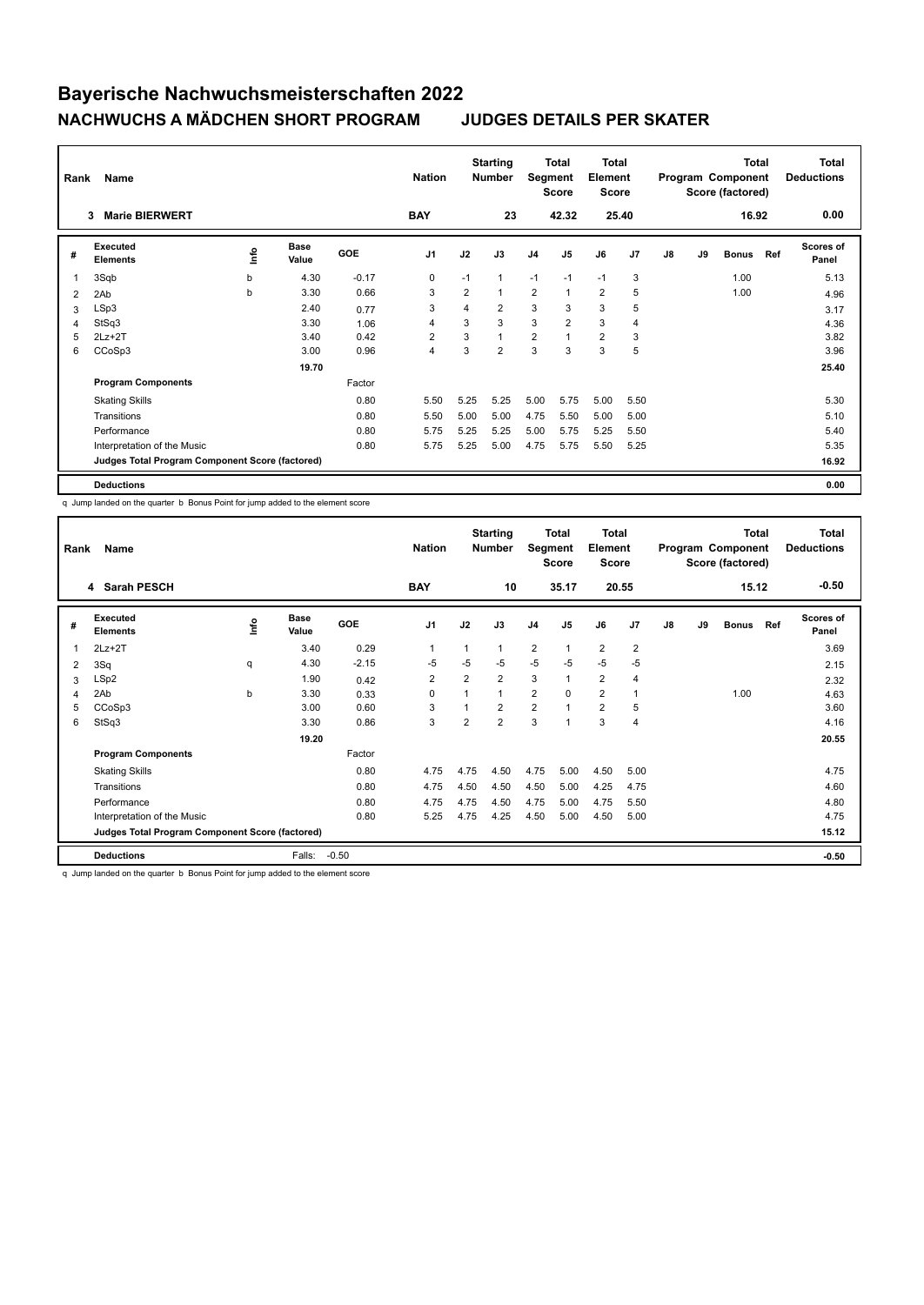| Rank | Name                                            |   | <b>Nation</b>        |            | <b>Starting</b><br><b>Number</b> | Segment | <b>Total</b><br><b>Score</b> | <b>Total</b><br>Element<br><b>Score</b> |                |                |      | <b>Total</b><br>Program Component<br>Score (factored) |    | <b>Total</b><br><b>Deductions</b> |     |                           |
|------|-------------------------------------------------|---|----------------------|------------|----------------------------------|---------|------------------------------|-----------------------------------------|----------------|----------------|------|-------------------------------------------------------|----|-----------------------------------|-----|---------------------------|
|      | <b>Marie BIERWERT</b><br>3                      |   |                      |            | <b>BAY</b>                       |         | 23                           |                                         | 42.32          | 25.40          |      |                                                       |    | 16.92                             |     | 0.00                      |
| #    | Executed<br><b>Elements</b>                     | ۴ | <b>Base</b><br>Value | <b>GOE</b> | J <sub>1</sub>                   | J2      | J3                           | J <sub>4</sub>                          | J <sub>5</sub> | J6             | J7   | J8                                                    | J9 | <b>Bonus</b>                      | Ref | <b>Scores of</b><br>Panel |
|      | 3Sqb                                            | b | 4.30                 | $-0.17$    | 0                                | $-1$    | 1                            | $-1$                                    | $-1$           | $-1$           | 3    |                                                       |    | 1.00                              |     | 5.13                      |
| 2    | 2Ab                                             | b | 3.30                 | 0.66       | 3                                | 2       | 4                            | 2                                       | 1              | $\overline{2}$ | 5    |                                                       |    | 1.00                              |     | 4.96                      |
| 3    | LSp3                                            |   | 2.40                 | 0.77       | 3                                | 4       | $\overline{2}$               | 3                                       | 3              | 3              | 5    |                                                       |    |                                   |     | 3.17                      |
| 4    | StSq3                                           |   | 3.30                 | 1.06       | 4                                | 3       | 3                            | 3                                       | $\overline{2}$ | 3              | 4    |                                                       |    |                                   |     | 4.36                      |
| 5    | $2Lz + 2T$                                      |   | 3.40                 | 0.42       | $\overline{2}$                   | 3       | $\overline{A}$               | $\overline{2}$                          |                | $\overline{2}$ | 3    |                                                       |    |                                   |     | 3.82                      |
| 6    | CCoSp3                                          |   | 3.00                 | 0.96       | $\overline{4}$                   | 3       | $\overline{2}$               | 3                                       | 3              | 3              | 5    |                                                       |    |                                   |     | 3.96                      |
|      |                                                 |   | 19.70                |            |                                  |         |                              |                                         |                |                |      |                                                       |    |                                   |     | 25.40                     |
|      | <b>Program Components</b>                       |   |                      | Factor     |                                  |         |                              |                                         |                |                |      |                                                       |    |                                   |     |                           |
|      | <b>Skating Skills</b>                           |   |                      | 0.80       | 5.50                             | 5.25    | 5.25                         | 5.00                                    | 5.75           | 5.00           | 5.50 |                                                       |    |                                   |     | 5.30                      |
|      | Transitions                                     |   |                      | 0.80       | 5.50                             | 5.00    | 5.00                         | 4.75                                    | 5.50           | 5.00           | 5.00 |                                                       |    |                                   |     | 5.10                      |
|      | Performance                                     |   |                      | 0.80       | 5.75                             | 5.25    | 5.25                         | 5.00                                    | 5.75           | 5.25           | 5.50 |                                                       |    |                                   |     | 5.40                      |
|      | Interpretation of the Music                     |   |                      | 0.80       | 5.75                             | 5.25    | 5.00                         | 4.75                                    | 5.75           | 5.50           | 5.25 |                                                       |    |                                   |     | 5.35                      |
|      | Judges Total Program Component Score (factored) |   |                      |            |                                  |         |                              |                                         |                |                |      |                                                       |    |                                   |     | 16.92                     |
|      | <b>Deductions</b>                               |   |                      |            |                                  |         |                              |                                         |                |                |      |                                                       |    |                                   |     | 0.00                      |

q Jump landed on the quarter b Bonus Point for jump added to the element score

| Rank           | Name                                            |      | <b>Nation</b> |            | <b>Starting</b><br><b>Number</b> | Segment        | Total<br><b>Score</b> | <b>Total</b><br>Element<br><b>Score</b> |                |                |                | <b>Total</b><br>Program Component<br>Score (factored) |    | Total<br><b>Deductions</b> |     |                           |
|----------------|-------------------------------------------------|------|---------------|------------|----------------------------------|----------------|-----------------------|-----------------------------------------|----------------|----------------|----------------|-------------------------------------------------------|----|----------------------------|-----|---------------------------|
|                | 4 Sarah PESCH                                   |      |               |            | <b>BAY</b>                       |                | 10                    |                                         | 35.17          |                | 20.55          |                                                       |    | 15.12                      |     | $-0.50$                   |
| #              | Executed<br><b>Elements</b>                     | ١mfo | Base<br>Value | <b>GOE</b> | J1                               | J2             | J3                    | J <sub>4</sub>                          | J <sub>5</sub> | J6             | J <sub>7</sub> | J8                                                    | J9 | <b>Bonus</b>               | Ref | <b>Scores of</b><br>Panel |
| 1              | $2Lz+2T$                                        |      | 3.40          | 0.29       | $\overline{1}$                   | 1              | 1                     | $\overline{2}$                          | $\mathbf{1}$   | $\overline{2}$ | $\overline{2}$ |                                                       |    |                            |     | 3.69                      |
| 2              | 3Sq                                             | q    | 4.30          | $-2.15$    | $-5$                             | $-5$           | $-5$                  | $-5$                                    | $-5$           | $-5$           | $-5$           |                                                       |    |                            |     | 2.15                      |
| 3              | LSp2                                            |      | 1.90          | 0.42       | $\overline{2}$                   | 2              | $\overline{2}$        | 3                                       | $\mathbf{1}$   | $\overline{2}$ | $\overline{4}$ |                                                       |    |                            |     | 2.32                      |
| $\overline{4}$ | 2Ab                                             | b    | 3.30          | 0.33       | 0                                | $\overline{1}$ | 1                     | $\overline{2}$                          | $\Omega$       | $\overline{2}$ | 1              |                                                       |    | 1.00                       |     | 4.63                      |
| 5              | CCoSp3                                          |      | 3.00          | 0.60       | 3                                |                | $\overline{2}$        | $\overline{2}$                          | $\overline{ }$ | $\overline{2}$ | 5              |                                                       |    |                            |     | 3.60                      |
| 6              | StSq3                                           |      | 3.30          | 0.86       | 3                                | $\overline{2}$ | $\overline{2}$        | 3                                       | 1              | 3              | $\overline{4}$ |                                                       |    |                            |     | 4.16                      |
|                |                                                 |      | 19.20         |            |                                  |                |                       |                                         |                |                |                |                                                       |    |                            |     | 20.55                     |
|                | <b>Program Components</b>                       |      |               | Factor     |                                  |                |                       |                                         |                |                |                |                                                       |    |                            |     |                           |
|                | <b>Skating Skills</b>                           |      |               | 0.80       | 4.75                             | 4.75           | 4.50                  | 4.75                                    | 5.00           | 4.50           | 5.00           |                                                       |    |                            |     | 4.75                      |
|                | Transitions                                     |      |               | 0.80       | 4.75                             | 4.50           | 4.50                  | 4.50                                    | 5.00           | 4.25           | 4.75           |                                                       |    |                            |     | 4.60                      |
|                | Performance                                     |      |               | 0.80       | 4.75                             | 4.75           | 4.50                  | 4.75                                    | 5.00           | 4.75           | 5.50           |                                                       |    |                            |     | 4.80                      |
|                | Interpretation of the Music                     |      |               | 0.80       | 5.25                             | 4.75           | 4.25                  | 4.50                                    | 5.00           | 4.50           | 5.00           |                                                       |    |                            |     | 4.75                      |
|                | Judges Total Program Component Score (factored) |      |               |            |                                  |                |                       |                                         |                |                |                |                                                       |    |                            |     | 15.12                     |
|                | <b>Deductions</b>                               |      | Falls:        | $-0.50$    |                                  |                |                       |                                         |                |                |                |                                                       |    |                            |     | $-0.50$                   |

q Jump landed on the quarter b Bonus Point for jump added to the element score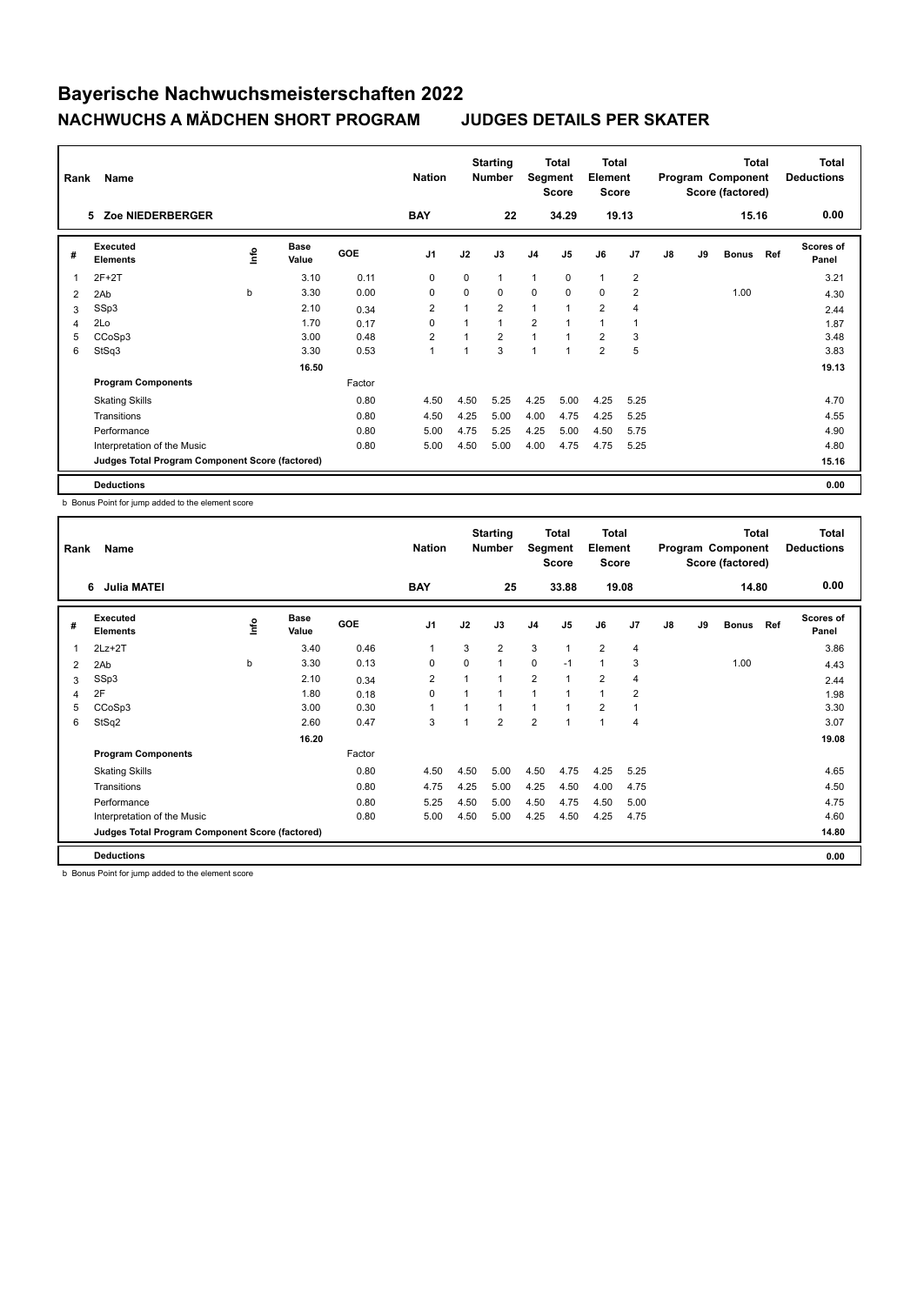| Rank | Name                                            |   | <b>Nation</b>        |        | <b>Starting</b><br><b>Number</b> | Segment        | Total<br><b>Score</b> | Total<br>Element<br><b>Score</b> |                |                |                | <b>Total</b><br>Program Component<br>Score (factored) |    | Total<br><b>Deductions</b> |     |                           |
|------|-------------------------------------------------|---|----------------------|--------|----------------------------------|----------------|-----------------------|----------------------------------|----------------|----------------|----------------|-------------------------------------------------------|----|----------------------------|-----|---------------------------|
|      | Zoe NIEDERBERGER<br>5                           |   |                      |        | <b>BAY</b>                       |                | 22                    |                                  | 34.29          |                | 19.13          |                                                       |    | 15.16                      |     | 0.00                      |
| #    | Executed<br><b>Elements</b>                     | ۴ | <b>Base</b><br>Value | GOE    | J <sub>1</sub>                   | J2             | J3                    | J <sub>4</sub>                   | J <sub>5</sub> | J6             | J7             | J8                                                    | J9 | <b>Bonus</b>               | Ref | <b>Scores of</b><br>Panel |
| 1    | $2F+2T$                                         |   | 3.10                 | 0.11   | 0                                | $\mathbf 0$    |                       | 1                                | $\mathbf 0$    | $\overline{1}$ | $\overline{2}$ |                                                       |    |                            |     | 3.21                      |
| 2    | 2Ab                                             | b | 3.30                 | 0.00   | $\mathbf 0$                      | 0              | 0                     | 0                                | $\mathbf 0$    | $\mathbf 0$    | $\overline{2}$ |                                                       |    | 1.00                       |     | 4.30                      |
| 3    | SSp3                                            |   | 2.10                 | 0.34   | 2                                | $\overline{ }$ | $\overline{2}$        | $\mathbf{1}$                     | $\overline{1}$ | $\overline{2}$ | $\overline{4}$ |                                                       |    |                            |     | 2.44                      |
| 4    | 2Lo                                             |   | 1.70                 | 0.17   | 0                                |                | $\overline{1}$        | 2                                | $\overline{ }$ | 1              | -1             |                                                       |    |                            |     | 1.87                      |
| 5    | CCoSp3                                          |   | 3.00                 | 0.48   | $\overline{2}$                   |                | $\overline{2}$        | 1                                | 4              | $\overline{2}$ | 3              |                                                       |    |                            |     | 3.48                      |
| 6    | StSq3                                           |   | 3.30                 | 0.53   | $\overline{1}$                   | ٠              | 3                     | $\overline{1}$                   | ٠              | $\overline{2}$ | 5              |                                                       |    |                            |     | 3.83                      |
|      |                                                 |   | 16.50                |        |                                  |                |                       |                                  |                |                |                |                                                       |    |                            |     | 19.13                     |
|      | <b>Program Components</b>                       |   |                      | Factor |                                  |                |                       |                                  |                |                |                |                                                       |    |                            |     |                           |
|      | <b>Skating Skills</b>                           |   |                      | 0.80   | 4.50                             | 4.50           | 5.25                  | 4.25                             | 5.00           | 4.25           | 5.25           |                                                       |    |                            |     | 4.70                      |
|      | Transitions                                     |   |                      | 0.80   | 4.50                             | 4.25           | 5.00                  | 4.00                             | 4.75           | 4.25           | 5.25           |                                                       |    |                            |     | 4.55                      |
|      | Performance                                     |   |                      | 0.80   | 5.00                             | 4.75           | 5.25                  | 4.25                             | 5.00           | 4.50           | 5.75           |                                                       |    |                            |     | 4.90                      |
|      | Interpretation of the Music                     |   |                      | 0.80   | 5.00                             | 4.50           | 5.00                  | 4.00                             | 4.75           | 4.75           | 5.25           |                                                       |    |                            |     | 4.80                      |
|      | Judges Total Program Component Score (factored) |   |                      |        |                                  |                |                       |                                  |                |                |                |                                                       |    |                            |     | 15.16                     |
|      | <b>Deductions</b>                               |   |                      |        |                                  |                |                       |                                  |                |                |                |                                                       |    |                            |     | 0.00                      |

b Bonus Point for jump added to the element score

| Rank | Name                                            |      | <b>Nation</b>        |            | <b>Starting</b><br><b>Number</b> | Segment        | <b>Total</b><br><b>Score</b> | <b>Total</b><br>Element<br><b>Score</b> |                |                |                | <b>Total</b><br>Program Component<br>Score (factored) |    | <b>Total</b><br><b>Deductions</b> |     |                    |
|------|-------------------------------------------------|------|----------------------|------------|----------------------------------|----------------|------------------------------|-----------------------------------------|----------------|----------------|----------------|-------------------------------------------------------|----|-----------------------------------|-----|--------------------|
|      | <b>Julia MATEI</b><br>6                         |      |                      |            | <b>BAY</b>                       |                | 25                           |                                         | 33.88          |                | 19.08          |                                                       |    | 14.80                             |     | 0.00               |
| #    | Executed<br><b>Elements</b>                     | lnfo | <b>Base</b><br>Value | <b>GOE</b> | J <sub>1</sub>                   | J2             | J3                           | J <sub>4</sub>                          | J <sub>5</sub> | J6             | J <sub>7</sub> | J8                                                    | J9 | <b>Bonus</b>                      | Ref | Scores of<br>Panel |
| 1    | $2Lz+2T$                                        |      | 3.40                 | 0.46       | $\overline{1}$                   | 3              | $\overline{2}$               | 3                                       | $\mathbf{1}$   | $\overline{2}$ | $\overline{4}$ |                                                       |    |                                   |     | 3.86               |
| 2    | 2Ab                                             | b    | 3.30                 | 0.13       | 0                                | 0              | 1                            | $\mathbf 0$                             | $-1$           | 1              | 3              |                                                       |    | 1.00                              |     | 4.43               |
| 3    | SSp3                                            |      | 2.10                 | 0.34       | $\overline{2}$                   | 1              | 1                            | $\overline{2}$                          | $\mathbf{1}$   | $\overline{2}$ | $\overline{4}$ |                                                       |    |                                   |     | 2.44               |
| 4    | 2F                                              |      | 1.80                 | 0.18       | $\mathbf 0$                      | $\overline{1}$ | 1                            | $\mathbf{1}$                            | $\mathbf{1}$   | $\mathbf{1}$   | $\overline{2}$ |                                                       |    |                                   |     | 1.98               |
| 5    | CCoSp3                                          |      | 3.00                 | 0.30       | $\overline{1}$                   | 1              | 1                            | $\mathbf{1}$                            | $\mathbf{1}$   | $\overline{2}$ | $\overline{1}$ |                                                       |    |                                   |     | 3.30               |
| 6    | StSq2                                           |      | 2.60                 | 0.47       | 3                                | $\overline{ }$ | $\overline{2}$               | $\overline{2}$                          | $\mathbf{1}$   | 1              | $\overline{4}$ |                                                       |    |                                   |     | 3.07               |
|      |                                                 |      | 16.20                |            |                                  |                |                              |                                         |                |                |                |                                                       |    |                                   |     | 19.08              |
|      | <b>Program Components</b>                       |      |                      | Factor     |                                  |                |                              |                                         |                |                |                |                                                       |    |                                   |     |                    |
|      | <b>Skating Skills</b>                           |      |                      | 0.80       | 4.50                             | 4.50           | 5.00                         | 4.50                                    | 4.75           | 4.25           | 5.25           |                                                       |    |                                   |     | 4.65               |
|      | Transitions                                     |      |                      | 0.80       | 4.75                             | 4.25           | 5.00                         | 4.25                                    | 4.50           | 4.00           | 4.75           |                                                       |    |                                   |     | 4.50               |
|      | Performance                                     |      |                      | 0.80       | 5.25                             | 4.50           | 5.00                         | 4.50                                    | 4.75           | 4.50           | 5.00           |                                                       |    |                                   |     | 4.75               |
|      | Interpretation of the Music                     |      |                      | 0.80       | 5.00                             | 4.50           | 5.00                         | 4.25                                    | 4.50           | 4.25           | 4.75           |                                                       |    |                                   |     | 4.60               |
|      | Judges Total Program Component Score (factored) |      |                      |            |                                  |                |                              |                                         |                |                |                |                                                       |    |                                   |     | 14.80              |
|      | <b>Deductions</b>                               |      |                      |            |                                  |                |                              |                                         |                |                |                |                                                       |    |                                   |     | 0.00               |

b Bonus Point for jump added to the element score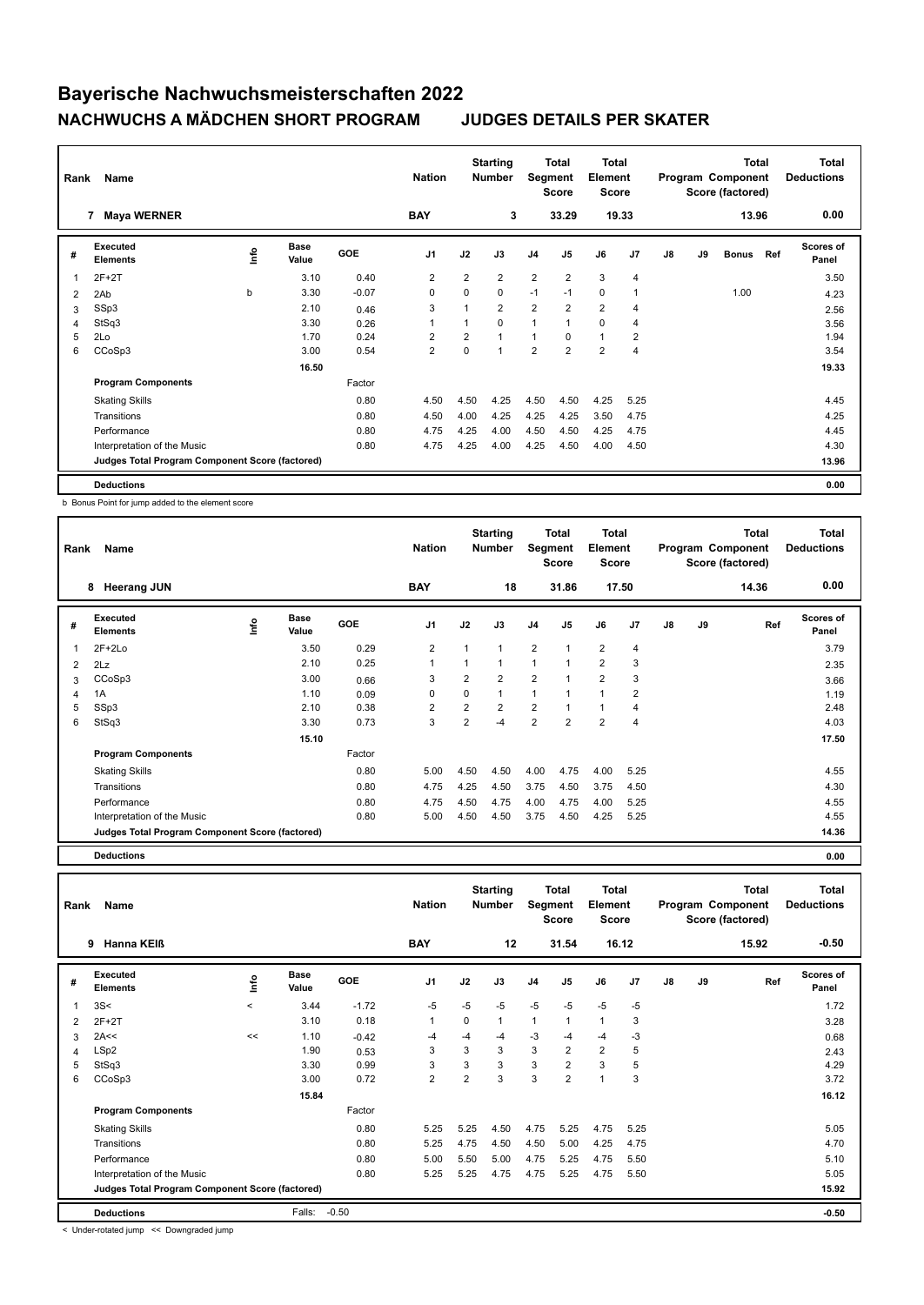| Rank | Name                                            |             | <b>Nation</b>        |            | <b>Starting</b><br><b>Number</b> | Segment        | Total<br>Score | <b>Total</b><br>Element<br><b>Score</b> |                |                |                | <b>Total</b><br>Program Component<br>Score (factored) |    | <b>Total</b><br><b>Deductions</b> |     |                           |
|------|-------------------------------------------------|-------------|----------------------|------------|----------------------------------|----------------|----------------|-----------------------------------------|----------------|----------------|----------------|-------------------------------------------------------|----|-----------------------------------|-----|---------------------------|
|      | <b>Maya WERNER</b><br>7                         |             |                      |            | <b>BAY</b>                       |                | 3              |                                         | 33.29          |                | 19.33          |                                                       |    | 13.96                             |     | 0.00                      |
| #    | Executed<br><b>Elements</b>                     | <u>lnfo</u> | <b>Base</b><br>Value | <b>GOE</b> | J <sub>1</sub>                   | J2             | J3             | J <sub>4</sub>                          | J <sub>5</sub> | J6             | J7             | J8                                                    | J9 | <b>Bonus</b>                      | Ref | <b>Scores of</b><br>Panel |
|      | $2F+2T$                                         |             | 3.10                 | 0.40       | 2                                | $\overline{2}$ | $\overline{2}$ | 2                                       | 2              | 3              | $\overline{4}$ |                                                       |    |                                   |     | 3.50                      |
| 2    | 2Ab                                             | b           | 3.30                 | $-0.07$    | 0                                | $\Omega$       | 0              | $-1$                                    | $-1$           | $\mathbf 0$    | -1             |                                                       |    | 1.00                              |     | 4.23                      |
| 3    | SSp3                                            |             | 2.10                 | 0.46       | 3                                | $\overline{1}$ | $\overline{2}$ | $\overline{2}$                          | $\overline{2}$ | $\overline{2}$ | $\overline{4}$ |                                                       |    |                                   |     | 2.56                      |
| 4    | StSq3                                           |             | 3.30                 | 0.26       | 1                                |                | 0              | $\mathbf{1}$                            | 1              | 0              | 4              |                                                       |    |                                   |     | 3.56                      |
| 5    | 2Lo                                             |             | 1.70                 | 0.24       | $\overline{2}$                   | $\overline{2}$ | 1              | $\mathbf{1}$                            | $\Omega$       | $\mathbf{1}$   | $\overline{2}$ |                                                       |    |                                   |     | 1.94                      |
| 6    | CCoSp3                                          |             | 3.00                 | 0.54       | $\overline{2}$                   | $\Omega$       | 1              | $\overline{2}$                          | $\overline{2}$ | $\overline{2}$ | $\overline{4}$ |                                                       |    |                                   |     | 3.54                      |
|      |                                                 |             | 16.50                |            |                                  |                |                |                                         |                |                |                |                                                       |    |                                   |     | 19.33                     |
|      | <b>Program Components</b>                       |             |                      | Factor     |                                  |                |                |                                         |                |                |                |                                                       |    |                                   |     |                           |
|      | <b>Skating Skills</b>                           |             |                      | 0.80       | 4.50                             | 4.50           | 4.25           | 4.50                                    | 4.50           | 4.25           | 5.25           |                                                       |    |                                   |     | 4.45                      |
|      | Transitions                                     |             |                      | 0.80       | 4.50                             | 4.00           | 4.25           | 4.25                                    | 4.25           | 3.50           | 4.75           |                                                       |    |                                   |     | 4.25                      |
|      | Performance                                     |             |                      | 0.80       | 4.75                             | 4.25           | 4.00           | 4.50                                    | 4.50           | 4.25           | 4.75           |                                                       |    |                                   |     | 4.45                      |
|      | Interpretation of the Music                     |             |                      | 0.80       | 4.75                             | 4.25           | 4.00           | 4.25                                    | 4.50           | 4.00           | 4.50           |                                                       |    |                                   |     | 4.30                      |
|      | Judges Total Program Component Score (factored) |             |                      |            |                                  |                |                |                                         |                |                |                |                                                       |    |                                   |     | 13.96                     |
|      | <b>Deductions</b>                               |             |                      |            |                                  |                |                |                                         |                |                |                |                                                       |    |                                   |     | 0.00                      |

b Bonus Point for jump added to the element score

| Rank | Name                                            |      |                      |            | <b>Nation</b>  |                | <b>Starting</b><br><b>Number</b> | Segment        | Total<br><b>Score</b> | Total<br>Element<br><b>Score</b> |                |    |    | Total<br>Program Component<br>Score (factored) | <b>Total</b><br><b>Deductions</b> |
|------|-------------------------------------------------|------|----------------------|------------|----------------|----------------|----------------------------------|----------------|-----------------------|----------------------------------|----------------|----|----|------------------------------------------------|-----------------------------------|
|      | <b>Heerang JUN</b><br>8                         |      |                      |            | <b>BAY</b>     |                | 18                               |                | 31.86                 |                                  | 17.50          |    |    | 14.36                                          | 0.00                              |
| #    | Executed<br><b>Elements</b>                     | lnfo | <b>Base</b><br>Value | <b>GOE</b> | J <sub>1</sub> | J2             | J3                               | J <sub>4</sub> | J <sub>5</sub>        | J6                               | J <sub>7</sub> | J8 | J9 | Ref                                            | Scores of<br>Panel                |
| 1    | $2F+2Lo$                                        |      | 3.50                 | 0.29       | $\overline{2}$ | 1              | 1                                | $\overline{2}$ | $\overline{1}$        | $\overline{2}$                   | $\overline{4}$ |    |    |                                                | 3.79                              |
| 2    | 2Lz                                             |      | 2.10                 | 0.25       | $\overline{1}$ | 1              | 1                                | 1              | $\overline{1}$        | $\overline{2}$                   | 3              |    |    |                                                | 2.35                              |
| 3    | CCoSp3                                          |      | 3.00                 | 0.66       | 3              | $\overline{2}$ | $\overline{2}$                   | $\overline{2}$ |                       | $\overline{2}$                   | 3              |    |    |                                                | 3.66                              |
| 4    | 1A                                              |      | 1.10                 | 0.09       | 0              | 0              | 1                                | $\mathbf{1}$   |                       | 1                                | 2              |    |    |                                                | 1.19                              |
| 5    | SSp3                                            |      | 2.10                 | 0.38       | $\overline{2}$ | $\overline{2}$ | $\overline{2}$                   | $\overline{2}$ |                       | $\overline{1}$                   | 4              |    |    |                                                | 2.48                              |
| 6    | StSq3                                           |      | 3.30                 | 0.73       | 3              | $\overline{2}$ | -4                               | $\overline{2}$ | $\overline{2}$        | $\overline{2}$                   | 4              |    |    |                                                | 4.03                              |
|      |                                                 |      | 15.10                |            |                |                |                                  |                |                       |                                  |                |    |    |                                                | 17.50                             |
|      | <b>Program Components</b>                       |      |                      | Factor     |                |                |                                  |                |                       |                                  |                |    |    |                                                |                                   |
|      | <b>Skating Skills</b>                           |      |                      | 0.80       | 5.00           | 4.50           | 4.50                             | 4.00           | 4.75                  | 4.00                             | 5.25           |    |    |                                                | 4.55                              |
|      | Transitions                                     |      |                      | 0.80       | 4.75           | 4.25           | 4.50                             | 3.75           | 4.50                  | 3.75                             | 4.50           |    |    |                                                | 4.30                              |
|      | Performance                                     |      |                      | 0.80       | 4.75           | 4.50           | 4.75                             | 4.00           | 4.75                  | 4.00                             | 5.25           |    |    |                                                | 4.55                              |
|      | Interpretation of the Music                     |      |                      | 0.80       | 5.00           | 4.50           | 4.50                             | 3.75           | 4.50                  | 4.25                             | 5.25           |    |    |                                                | 4.55                              |
|      | Judges Total Program Component Score (factored) |      |                      |            |                |                |                                  |                |                       |                                  |                |    |    |                                                | 14.36                             |

**Deductions 0.00**

**Total Deductions Total Program Component Score (factored) Total Element Score Total Segment Score Starting Rank Name Nation Number # Executed Elements Base Value GOE J1 J2 J3 J4 J5 J6 J7 J8 J9 Scores of Panel** 1 3.44 -1.72 -5 -5 -5 -5 -5 -5 -5 **Ref**  3S< < 1.72 **Info 9 Hanna KEIß BAY 12 31.54 16.12 15.92 -0.50** 2 2F+2T 3.28 3.10 0.18 1 0 1 1 1 1 3 3 2A<<  $\leq$  1.10  $-0.42$   $-4$   $-4$   $-3$   $-4$   $-3$   $-3$   $-4$   $-3$ 4 LSp2 1.90 0.53 3 3 3 3 2 2 5 2.43 5 StSq3 3.30 0.99 3 3 3 3 2 3 5 4.29 6 CCoSp3 3.00 0.72 2 2 3 3 2 1 3 3.72  **15.84 16.12 Program Components**  Skating Skills **5.25** 5.25 5.25 4.50 4.75 5.25 4.75 5.25 4.75 5.25 Factor 0.80 5.25 5.25 4.50 4.75 5.25 4.75 5.25 5.05 Transitions 0.80 5.25 4.75 4.50 4.50 5.00 4.25 4.75 4.70 Performance 0.80 5.00 5.50 5.00 4.75 5.25 4.75 5.50 5.10 Interpretation of the Music 0.80 5.25 5.25 4.75 4.75 5.25 4.75 5.50 5.05 **Deductions** Falls: -0.50 **-0.50 Judges Total Program Component Score (factored) 15.92**

< Under-rotated jump << Downgraded jump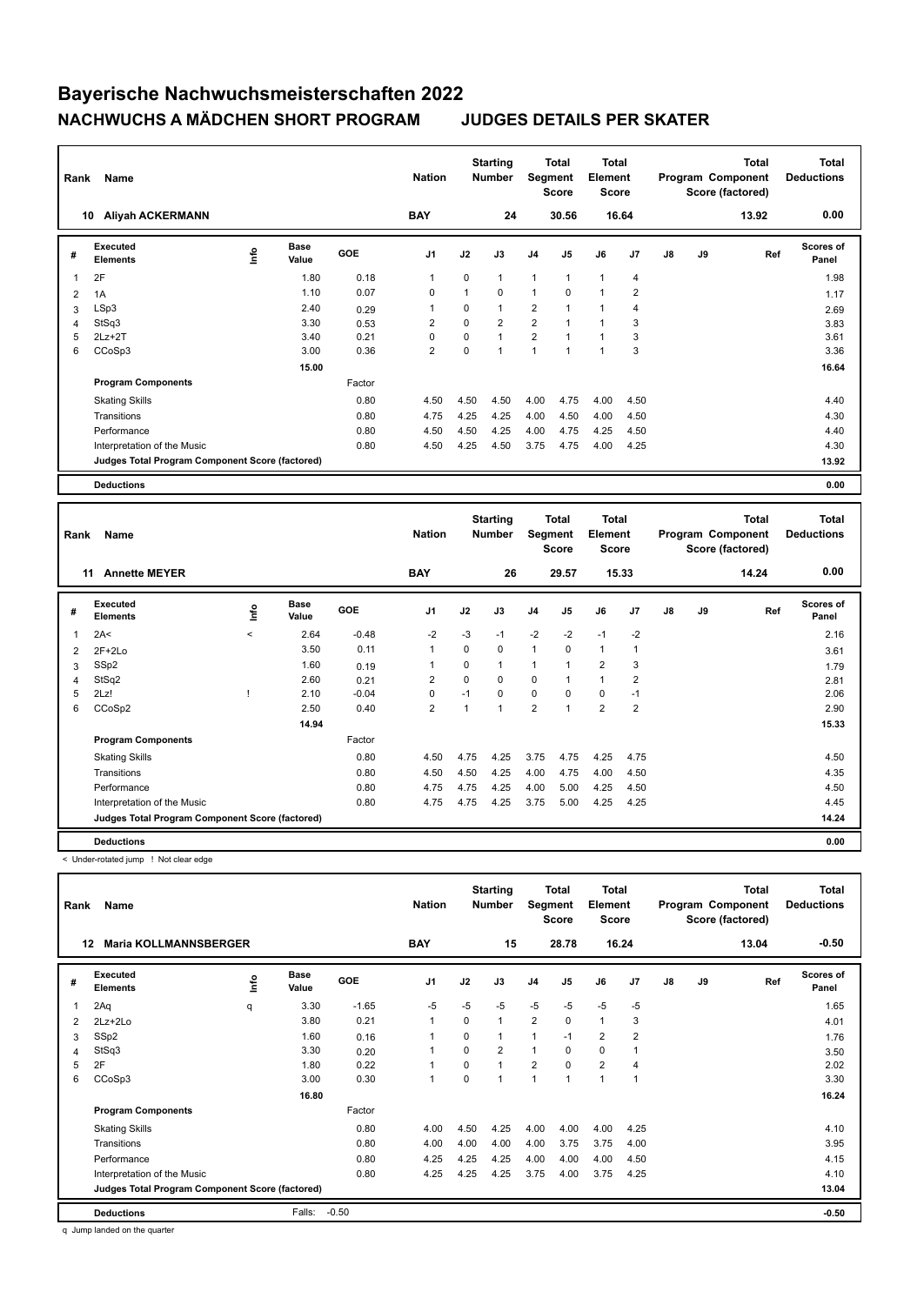| Rank | Name                                            |   | <b>Nation</b>        |        | <b>Starting</b><br><b>Number</b> | Segment  | Total<br><b>Score</b> | <b>Total</b><br>Element<br><b>Score</b> |              |                |                | <b>Total</b><br>Program Component<br>Score (factored) | <b>Total</b><br><b>Deductions</b> |       |                           |
|------|-------------------------------------------------|---|----------------------|--------|----------------------------------|----------|-----------------------|-----------------------------------------|--------------|----------------|----------------|-------------------------------------------------------|-----------------------------------|-------|---------------------------|
| 10   | <b>Aliyah ACKERMANN</b>                         |   |                      |        | <b>BAY</b>                       |          | 24                    |                                         | 30.56        |                | 16.64          |                                                       |                                   | 13.92 | 0.00                      |
| #    | Executed<br><b>Elements</b>                     | ۴ | <b>Base</b><br>Value | GOE    | J <sub>1</sub>                   | J2       | J3                    | J <sub>4</sub>                          | J5           | J6             | J7             | $\mathsf{J}8$                                         | J9                                | Ref   | <b>Scores of</b><br>Panel |
| 1    | 2F                                              |   | 1.80                 | 0.18   | $\mathbf{1}$                     | $\Omega$ | $\mathbf{1}$          | $\overline{1}$                          | $\mathbf{1}$ | $\overline{1}$ | $\overline{4}$ |                                                       |                                   |       | 1.98                      |
| 2    | 1A                                              |   | 1.10                 | 0.07   | $\mathbf 0$                      |          | 0                     | $\mathbf{1}$                            | $\Omega$     | $\mathbf{1}$   | $\overline{2}$ |                                                       |                                   |       | 1.17                      |
| 3    | LSp3                                            |   | 2.40                 | 0.29   | 1                                | $\Omega$ | 1                     | $\overline{2}$                          | $\mathbf{1}$ | 1              | $\overline{4}$ |                                                       |                                   |       | 2.69                      |
| 4    | StSq3                                           |   | 3.30                 | 0.53   | $\overline{2}$                   | $\Omega$ | $\overline{2}$        | $\overline{2}$                          | $\mathbf{1}$ | $\mathbf{1}$   | 3              |                                                       |                                   |       | 3.83                      |
| 5    | $2Lz+2T$                                        |   | 3.40                 | 0.21   | 0                                | 0        | 1                     | $\overline{2}$                          | $\mathbf{1}$ | $\mathbf{1}$   | 3              |                                                       |                                   |       | 3.61                      |
| 6    | CCoSp3                                          |   | 3.00                 | 0.36   | $\overline{2}$                   | 0        | 1                     | 1                                       | $\mathbf{1}$ | 1              | 3              |                                                       |                                   |       | 3.36                      |
|      |                                                 |   | 15.00                |        |                                  |          |                       |                                         |              |                |                |                                                       |                                   |       | 16.64                     |
|      | <b>Program Components</b>                       |   |                      | Factor |                                  |          |                       |                                         |              |                |                |                                                       |                                   |       |                           |
|      | <b>Skating Skills</b>                           |   |                      | 0.80   | 4.50                             | 4.50     | 4.50                  | 4.00                                    | 4.75         | 4.00           | 4.50           |                                                       |                                   |       | 4.40                      |
|      | Transitions                                     |   |                      | 0.80   | 4.75                             | 4.25     | 4.25                  | 4.00                                    | 4.50         | 4.00           | 4.50           |                                                       |                                   |       | 4.30                      |
|      | Performance                                     |   |                      | 0.80   | 4.50                             | 4.50     | 4.25                  | 4.00                                    | 4.75         | 4.25           | 4.50           |                                                       |                                   |       | 4.40                      |
|      | Interpretation of the Music                     |   |                      | 0.80   | 4.50                             | 4.25     | 4.50                  | 3.75                                    | 4.75         | 4.00           | 4.25           |                                                       |                                   |       | 4.30                      |
|      | Judges Total Program Component Score (factored) |   |                      |        |                                  |          |                       |                                         |              |                |                |                                                       |                                   |       | 13.92                     |
|      | <b>Deductions</b>                               |   |                      |        |                                  |          |                       |                                         |              |                |                |                                                       |                                   |       | 0.00                      |

| Rank           | Name                                            |          | <b>Nation</b>        |            | <b>Starting</b><br><b>Number</b> | Segment  | Total<br><b>Score</b> | <b>Total</b><br>Element<br><b>Score</b> |                |                |                | <b>Total</b><br>Program Component<br>Score (factored) | <b>Total</b><br><b>Deductions</b> |       |                           |
|----------------|-------------------------------------------------|----------|----------------------|------------|----------------------------------|----------|-----------------------|-----------------------------------------|----------------|----------------|----------------|-------------------------------------------------------|-----------------------------------|-------|---------------------------|
|                | 11<br><b>Annette MEYER</b>                      |          |                      |            | <b>BAY</b>                       |          | 26                    |                                         | 29.57          |                | 15.33          |                                                       |                                   | 14.24 | 0.00                      |
| #              | Executed<br><b>Elements</b>                     | ١nf٥     | <b>Base</b><br>Value | <b>GOE</b> | J <sub>1</sub>                   | J2       | J3                    | J4                                      | J <sub>5</sub> | J6             | J <sub>7</sub> | J8                                                    | J9                                | Ref   | <b>Scores of</b><br>Panel |
| 1              | 2A<                                             | $\hat{}$ | 2.64                 | $-0.48$    | $-2$                             | $-3$     | $-1$                  | $-2$                                    | $-2$           | $-1$           | $-2$           |                                                       |                                   |       | 2.16                      |
| $\overline{2}$ | $2F+2Lo$                                        |          | 3.50                 | 0.11       | $\mathbf{1}$                     | 0        | 0                     | $\mathbf{1}$                            | 0              | $\mathbf{1}$   | 1              |                                                       |                                   |       | 3.61                      |
| 3              | SSp2                                            |          | 1.60                 | 0.19       | $\overline{1}$                   | $\Omega$ | 1                     | 1                                       |                | $\overline{2}$ | 3              |                                                       |                                   |       | 1.79                      |
| 4              | StSq2                                           |          | 2.60                 | 0.21       | $\overline{2}$                   | $\Omega$ | 0                     | $\mathbf 0$                             |                | $\mathbf{1}$   | $\overline{2}$ |                                                       |                                   |       | 2.81                      |
| 5              | 2Lz!                                            |          | 2.10                 | $-0.04$    | 0                                | $-1$     | 0                     | $\mathbf 0$                             | $\Omega$       | $\mathbf 0$    | $-1$           |                                                       |                                   |       | 2.06                      |
| 6              | CCoSp2                                          |          | 2.50                 | 0.40       | $\overline{2}$                   |          | 1                     | $\overline{2}$                          | $\overline{ }$ | $\overline{2}$ | $\overline{2}$ |                                                       |                                   |       | 2.90                      |
|                |                                                 |          | 14.94                |            |                                  |          |                       |                                         |                |                |                |                                                       |                                   |       | 15.33                     |
|                | <b>Program Components</b>                       |          |                      | Factor     |                                  |          |                       |                                         |                |                |                |                                                       |                                   |       |                           |
|                | <b>Skating Skills</b>                           |          |                      | 0.80       | 4.50                             | 4.75     | 4.25                  | 3.75                                    | 4.75           | 4.25           | 4.75           |                                                       |                                   |       | 4.50                      |
|                | Transitions                                     |          |                      | 0.80       | 4.50                             | 4.50     | 4.25                  | 4.00                                    | 4.75           | 4.00           | 4.50           |                                                       |                                   |       | 4.35                      |
|                | Performance                                     |          |                      | 0.80       | 4.75                             | 4.75     | 4.25                  | 4.00                                    | 5.00           | 4.25           | 4.50           |                                                       |                                   |       | 4.50                      |
|                | Interpretation of the Music                     |          |                      | 0.80       | 4.75                             | 4.75     | 4.25                  | 3.75                                    | 5.00           | 4.25           | 4.25           |                                                       |                                   |       | 4.45                      |
|                | Judges Total Program Component Score (factored) |          |                      |            |                                  |          |                       |                                         |                |                |                |                                                       |                                   |       | 14.24                     |
|                | <b>Deductions</b>                               |          |                      |            |                                  |          |                       |                                         |                |                |                |                                                       |                                   |       | 0.00                      |

< Under-rotated jump ! Not clear edge

| Name<br>Rank<br><b>Maria KOLLMANNSBERGER</b><br>12 |                                                 |             |               |         | <b>Nation</b>  |          | <b>Starting</b><br><b>Number</b> | Segment        | Total<br><b>Score</b> | <b>Total</b><br>Element<br><b>Score</b> |      |    |    | <b>Total</b><br>Program Component<br>Score (factored) | <b>Total</b><br><b>Deductions</b> |
|----------------------------------------------------|-------------------------------------------------|-------------|---------------|---------|----------------|----------|----------------------------------|----------------|-----------------------|-----------------------------------------|------|----|----|-------------------------------------------------------|-----------------------------------|
|                                                    |                                                 |             |               |         | <b>BAY</b>     |          | 15                               |                | 28.78                 | 16.24                                   |      |    |    | 13.04                                                 | $-0.50$                           |
| #                                                  | Executed<br><b>Elements</b>                     | <u>lnfo</u> | Base<br>Value | GOE     | J <sub>1</sub> | J2       | J3                               | J <sub>4</sub> | J <sub>5</sub>        | J6                                      | J7   | J8 | J9 | Ref                                                   | Scores of<br>Panel                |
| 1                                                  | 2Aq                                             | q           | 3.30          | $-1.65$ | $-5$           | $-5$     | $-5$                             | $-5$           | $-5$                  | $-5$                                    | $-5$ |    |    |                                                       | 1.65                              |
| 2                                                  | $2Lz + 2Lo$                                     |             | 3.80          | 0.21    | $\overline{1}$ | $\Omega$ | $\mathbf{1}$                     | 2              | $\Omega$              | $\mathbf{1}$                            | 3    |    |    |                                                       | 4.01                              |
| 3                                                  | SSp2                                            |             | 1.60          | 0.16    |                | 0        | 1                                | 1              | $-1$                  | $\overline{2}$                          | 2    |    |    |                                                       | 1.76                              |
| 4                                                  | StSq3                                           |             | 3.30          | 0.20    |                | $\Omega$ | $\overline{2}$                   | $\mathbf{1}$   | 0                     | 0                                       | 1    |    |    |                                                       | 3.50                              |
| 5                                                  | 2F                                              |             | 1.80          | 0.22    |                | $\Omega$ | 1                                | $\overline{2}$ | $\Omega$              | $\overline{2}$                          | 4    |    |    |                                                       | 2.02                              |
| 6                                                  | CCoSp3                                          |             | 3.00          | 0.30    | $\overline{1}$ | 0        | 1                                | 1              |                       | $\mathbf{1}$                            | 1    |    |    |                                                       | 3.30                              |
|                                                    |                                                 |             | 16.80         |         |                |          |                                  |                |                       |                                         |      |    |    |                                                       | 16.24                             |
|                                                    | <b>Program Components</b>                       |             |               | Factor  |                |          |                                  |                |                       |                                         |      |    |    |                                                       |                                   |
|                                                    | <b>Skating Skills</b>                           |             |               | 0.80    | 4.00           | 4.50     | 4.25                             | 4.00           | 4.00                  | 4.00                                    | 4.25 |    |    |                                                       | 4.10                              |
|                                                    | Transitions                                     |             |               | 0.80    | 4.00           | 4.00     | 4.00                             | 4.00           | 3.75                  | 3.75                                    | 4.00 |    |    |                                                       | 3.95                              |
|                                                    | Performance                                     |             |               | 0.80    | 4.25           | 4.25     | 4.25                             | 4.00           | 4.00                  | 4.00                                    | 4.50 |    |    |                                                       | 4.15                              |
|                                                    | Interpretation of the Music                     |             |               | 0.80    | 4.25           | 4.25     | 4.25                             | 3.75           | 4.00                  | 3.75                                    | 4.25 |    |    |                                                       | 4.10                              |
|                                                    | Judges Total Program Component Score (factored) |             |               |         |                |          |                                  |                |                       |                                         |      |    |    |                                                       | 13.04                             |
|                                                    | <b>Deductions</b>                               |             | Falls:        | $-0.50$ |                |          |                                  |                |                       |                                         |      |    |    |                                                       | $-0.50$                           |

q Jump landed on the quarter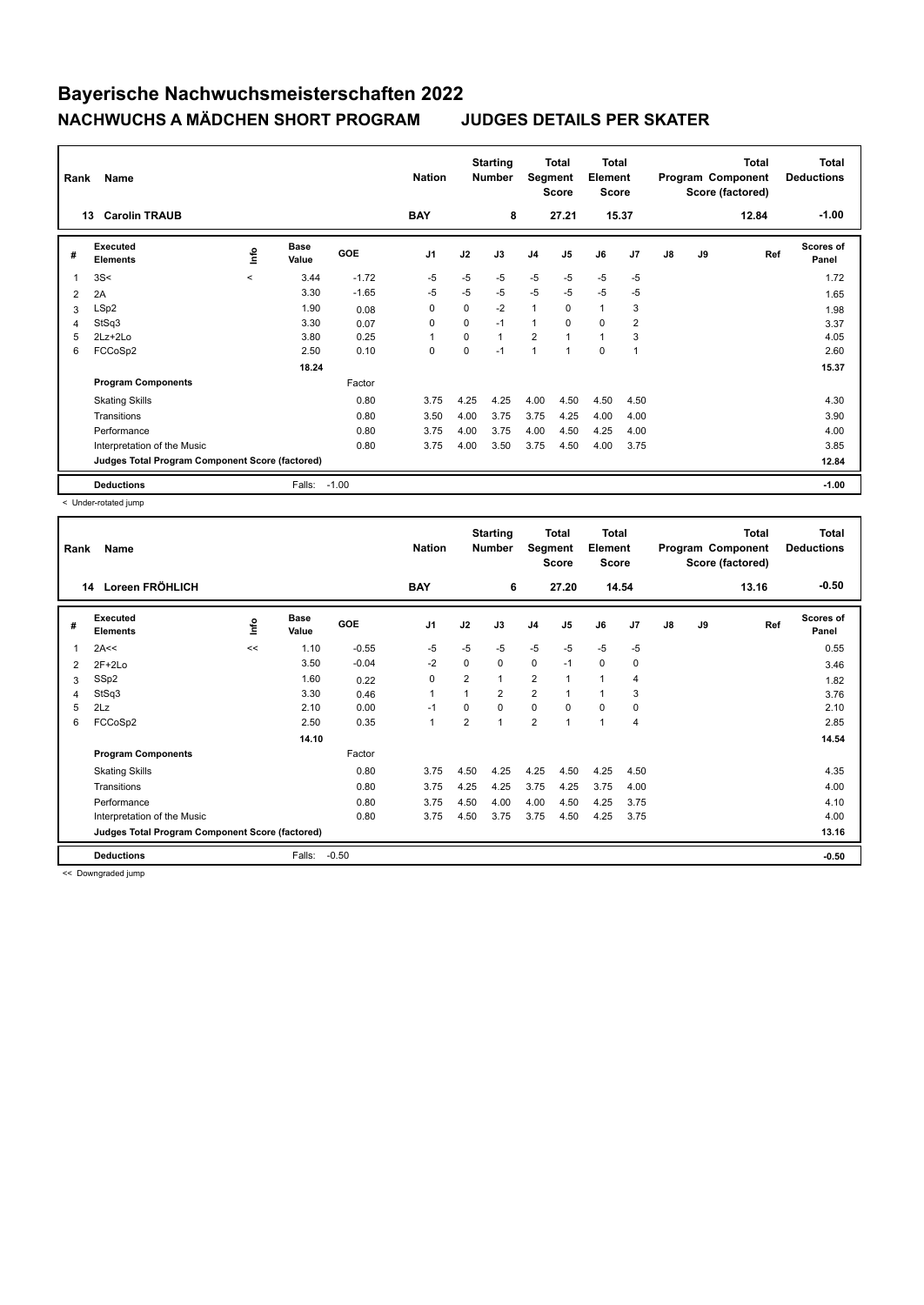| Rank | Name                                            |             |                      |            | <b>Nation</b>  |          | <b>Starting</b><br><b>Number</b> | Segment        | <b>Total</b><br><b>Score</b> | <b>Total</b><br>Element<br><b>Score</b> |                |               |    | <b>Total</b><br>Program Component<br>Score (factored) | <b>Total</b><br><b>Deductions</b> |
|------|-------------------------------------------------|-------------|----------------------|------------|----------------|----------|----------------------------------|----------------|------------------------------|-----------------------------------------|----------------|---------------|----|-------------------------------------------------------|-----------------------------------|
|      | <b>Carolin TRAUB</b><br>13                      |             |                      |            | <b>BAY</b>     |          | 8                                |                | 27.21                        | 15.37                                   |                |               |    | 12.84                                                 | $-1.00$                           |
| #    | Executed<br><b>Elements</b>                     | <u>lnfo</u> | <b>Base</b><br>Value | <b>GOE</b> | J <sub>1</sub> | J2       | J3                               | J <sub>4</sub> | J5                           | J6                                      | J7             | $\mathsf{J}8$ | J9 | Ref                                                   | Scores of<br>Panel                |
| 1    | 3S<                                             | $\prec$     | 3.44                 | $-1.72$    | $-5$           | $-5$     | $-5$                             | $-5$           | $-5$                         | $-5$                                    | $-5$           |               |    |                                                       | 1.72                              |
| 2    | 2A                                              |             | 3.30                 | $-1.65$    | -5             | $-5$     | $-5$                             | $-5$           | $-5$                         | $-5$                                    | $-5$           |               |    |                                                       | 1.65                              |
| 3    | LSp2                                            |             | 1.90                 | 0.08       | 0              | 0        | $-2$                             | $\mathbf{1}$   | $\Omega$                     | $\mathbf{1}$                            | 3              |               |    |                                                       | 1.98                              |
| 4    | StSq3                                           |             | 3.30                 | 0.07       | 0              | $\Omega$ | $-1$                             | $\mathbf{1}$   | $\Omega$                     | $\mathbf 0$                             | 2              |               |    |                                                       | 3.37                              |
| 5    | 2Lz+2Lo                                         |             | 3.80                 | 0.25       | $\overline{1}$ | $\Omega$ | 1                                | $\overline{2}$ |                              | $\overline{1}$                          | 3              |               |    |                                                       | 4.05                              |
| 6    | FCCoSp2                                         |             | 2.50                 | 0.10       | 0              | $\Omega$ | $-1$                             | $\overline{1}$ | 1                            | 0                                       | $\overline{1}$ |               |    |                                                       | 2.60                              |
|      |                                                 |             | 18.24                |            |                |          |                                  |                |                              |                                         |                |               |    |                                                       | 15.37                             |
|      | <b>Program Components</b>                       |             |                      | Factor     |                |          |                                  |                |                              |                                         |                |               |    |                                                       |                                   |
|      | <b>Skating Skills</b>                           |             |                      | 0.80       | 3.75           | 4.25     | 4.25                             | 4.00           | 4.50                         | 4.50                                    | 4.50           |               |    |                                                       | 4.30                              |
|      | Transitions                                     |             |                      | 0.80       | 3.50           | 4.00     | 3.75                             | 3.75           | 4.25                         | 4.00                                    | 4.00           |               |    |                                                       | 3.90                              |
|      | Performance                                     |             |                      | 0.80       | 3.75           | 4.00     | 3.75                             | 4.00           | 4.50                         | 4.25                                    | 4.00           |               |    |                                                       | 4.00                              |
|      | Interpretation of the Music                     |             |                      | 0.80       | 3.75           | 4.00     | 3.50                             | 3.75           | 4.50                         | 4.00                                    | 3.75           |               |    |                                                       | 3.85                              |
|      | Judges Total Program Component Score (factored) |             |                      |            |                |          |                                  |                |                              |                                         |                |               |    |                                                       | 12.84                             |
|      | <b>Deductions</b>                               |             | Falls:               | $-1.00$    |                |          |                                  |                |                              |                                         |                |               |    |                                                       | $-1.00$                           |

< Under-rotated jump

| Rank           | Name                                            |    |                      |         | <b>Nation</b>  |                | <b>Starting</b><br><b>Number</b> | Segment        | <b>Total</b><br><b>Score</b> | <b>Total</b><br>Element<br><b>Score</b> |                |               |    | <b>Total</b><br>Program Component<br>Score (factored) | <b>Total</b><br><b>Deductions</b> |
|----------------|-------------------------------------------------|----|----------------------|---------|----------------|----------------|----------------------------------|----------------|------------------------------|-----------------------------------------|----------------|---------------|----|-------------------------------------------------------|-----------------------------------|
|                | Loreen FRÖHLICH<br>14                           |    |                      |         | <b>BAY</b>     |                | 6                                |                | 27.20                        | 14.54                                   |                |               |    | 13.16                                                 | $-0.50$                           |
| #              | Executed<br><b>Elements</b>                     | ١m | <b>Base</b><br>Value | GOE     | J <sub>1</sub> | J2             | J3                               | J <sub>4</sub> | J5                           | J6                                      | J7             | $\mathsf{J}8$ | J9 | Ref                                                   | <b>Scores of</b><br>Panel         |
| 1              | 2A<<                                            | << | 1.10                 | $-0.55$ | $-5$           | $-5$           | $-5$                             | $-5$           | $-5$                         | $-5$                                    | $-5$           |               |    |                                                       | 0.55                              |
| 2              | $2F+2Lo$                                        |    | 3.50                 | $-0.04$ | $-2$           | 0              | 0                                | $\mathbf 0$    | $-1$                         | $\mathbf 0$                             | 0              |               |    |                                                       | 3.46                              |
| 3              | SSp2                                            |    | 1.60                 | 0.22    | 0              | $\overline{2}$ | 1                                | $\overline{2}$ | $\overline{1}$               | 1                                       | $\overline{4}$ |               |    |                                                       | 1.82                              |
| $\overline{4}$ | StSq3                                           |    | 3.30                 | 0.46    | $\mathbf{1}$   |                | $\overline{2}$                   | $\overline{2}$ |                              | $\mathbf{1}$                            | 3              |               |    |                                                       | 3.76                              |
| 5              | 2Lz                                             |    | 2.10                 | 0.00    | $-1$           | $\Omega$       | $\Omega$                         | $\mathbf 0$    | $\Omega$                     | $\mathbf 0$                             | $\mathbf 0$    |               |    |                                                       | 2.10                              |
| 6              | FCCoSp2                                         |    | 2.50                 | 0.35    | $\mathbf{1}$   | $\overline{2}$ | $\mathbf{1}$                     | $\overline{2}$ | $\overline{\mathbf{A}}$      | $\mathbf{1}$                            | $\overline{4}$ |               |    |                                                       | 2.85                              |
|                |                                                 |    | 14.10                |         |                |                |                                  |                |                              |                                         |                |               |    |                                                       | 14.54                             |
|                | <b>Program Components</b>                       |    |                      | Factor  |                |                |                                  |                |                              |                                         |                |               |    |                                                       |                                   |
|                | <b>Skating Skills</b>                           |    |                      | 0.80    | 3.75           | 4.50           | 4.25                             | 4.25           | 4.50                         | 4.25                                    | 4.50           |               |    |                                                       | 4.35                              |
|                | Transitions                                     |    |                      | 0.80    | 3.75           | 4.25           | 4.25                             | 3.75           | 4.25                         | 3.75                                    | 4.00           |               |    |                                                       | 4.00                              |
|                | Performance                                     |    |                      | 0.80    | 3.75           | 4.50           | 4.00                             | 4.00           | 4.50                         | 4.25                                    | 3.75           |               |    |                                                       | 4.10                              |
|                | Interpretation of the Music                     |    |                      | 0.80    | 3.75           | 4.50           | 3.75                             | 3.75           | 4.50                         | 4.25                                    | 3.75           |               |    |                                                       | 4.00                              |
|                | Judges Total Program Component Score (factored) |    |                      |         |                |                |                                  |                |                              |                                         |                |               |    |                                                       | 13.16                             |
|                | <b>Deductions</b>                               |    | Falls:               | $-0.50$ |                |                |                                  |                |                              |                                         |                |               |    |                                                       | $-0.50$                           |

<< Downgraded jump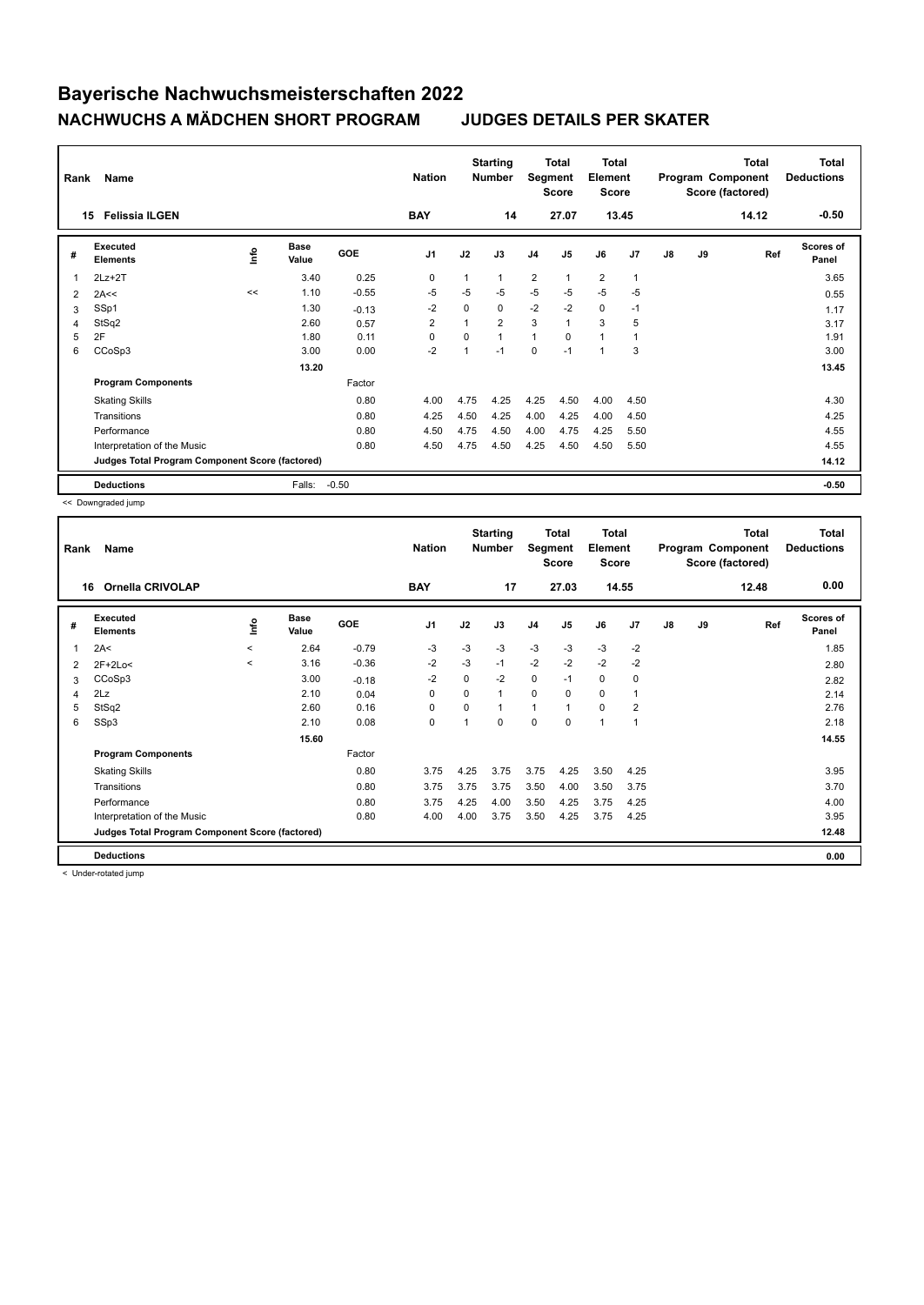| Rank | Name                                            |      |                      |            | <b>Nation</b>  |                | <b>Starting</b><br><b>Number</b> | Segment        | <b>Total</b><br><b>Score</b> | <b>Total</b><br>Element<br><b>Score</b> |                |               |    | <b>Total</b><br>Program Component<br>Score (factored) | <b>Total</b><br><b>Deductions</b> |
|------|-------------------------------------------------|------|----------------------|------------|----------------|----------------|----------------------------------|----------------|------------------------------|-----------------------------------------|----------------|---------------|----|-------------------------------------------------------|-----------------------------------|
|      | <b>Felissia ILGEN</b><br>15                     |      |                      |            | <b>BAY</b>     |                | 14                               |                | 27.07                        | 13.45                                   |                |               |    | 14.12                                                 | $-0.50$                           |
| #    | Executed<br><b>Elements</b>                     | lnfo | <b>Base</b><br>Value | <b>GOE</b> | J <sub>1</sub> | J2             | J3                               | J <sub>4</sub> | J <sub>5</sub>               | J6                                      | J <sub>7</sub> | $\mathsf{J}8$ | J9 | Ref                                                   | <b>Scores of</b><br>Panel         |
| 1    | $2Lz+2T$                                        |      | 3.40                 | 0.25       | 0              | 1              | 1                                | $\overline{2}$ | 1                            | $\overline{2}$                          | $\mathbf{1}$   |               |    |                                                       | 3.65                              |
| 2    | 2A<<                                            | <<   | 1.10                 | $-0.55$    | -5             | $-5$           | $-5$                             | $-5$           | $-5$                         | $-5$                                    | $-5$           |               |    |                                                       | 0.55                              |
| 3    | SSp1                                            |      | 1.30                 | $-0.13$    | $-2$           | $\Omega$       | 0                                | $-2$           | $-2$                         | $\mathbf 0$                             | $-1$           |               |    |                                                       | 1.17                              |
| 4    | StSq2                                           |      | 2.60                 | 0.57       | 2              | $\overline{ }$ | $\overline{2}$                   | 3              | 1                            | 3                                       | 5              |               |    |                                                       | 3.17                              |
| 5    | 2F                                              |      | 1.80                 | 0.11       | 0              | $\Omega$       | 1                                | $\mathbf{1}$   | $\Omega$                     | 1                                       | 1              |               |    |                                                       | 1.91                              |
| 6    | CCoSp3                                          |      | 3.00                 | 0.00       | $-2$           | 1              | $-1$                             | 0              | $-1$                         | 1                                       | 3              |               |    |                                                       | 3.00                              |
|      |                                                 |      | 13.20                |            |                |                |                                  |                |                              |                                         |                |               |    |                                                       | 13.45                             |
|      | <b>Program Components</b>                       |      |                      | Factor     |                |                |                                  |                |                              |                                         |                |               |    |                                                       |                                   |
|      | <b>Skating Skills</b>                           |      |                      | 0.80       | 4.00           | 4.75           | 4.25                             | 4.25           | 4.50                         | 4.00                                    | 4.50           |               |    |                                                       | 4.30                              |
|      | Transitions                                     |      |                      | 0.80       | 4.25           | 4.50           | 4.25                             | 4.00           | 4.25                         | 4.00                                    | 4.50           |               |    |                                                       | 4.25                              |
|      | Performance                                     |      |                      | 0.80       | 4.50           | 4.75           | 4.50                             | 4.00           | 4.75                         | 4.25                                    | 5.50           |               |    |                                                       | 4.55                              |
|      | Interpretation of the Music                     |      |                      | 0.80       | 4.50           | 4.75           | 4.50                             | 4.25           | 4.50                         | 4.50                                    | 5.50           |               |    |                                                       | 4.55                              |
|      | Judges Total Program Component Score (factored) |      |                      |            |                |                |                                  |                |                              |                                         |                |               |    |                                                       | 14.12                             |
|      | <b>Deductions</b>                               |      | Falls:               | $-0.50$    |                |                |                                  |                |                              |                                         |                |               |    |                                                       | $-0.50$                           |

<< Downgraded jump

| Rank | Name                                            |              |                      |            | <b>Nation</b>  |          | <b>Starting</b><br><b>Number</b> | Segment        | Total<br><b>Score</b> | Total<br>Element<br><b>Score</b> |       |    |    | <b>Total</b><br>Program Component<br>Score (factored) | <b>Total</b><br><b>Deductions</b> |
|------|-------------------------------------------------|--------------|----------------------|------------|----------------|----------|----------------------------------|----------------|-----------------------|----------------------------------|-------|----|----|-------------------------------------------------------|-----------------------------------|
|      | <b>Ornella CRIVOLAP</b><br>16                   |              |                      |            | <b>BAY</b>     |          | 17                               |                | 27.03                 |                                  | 14.55 |    |    | 12.48                                                 | 0.00                              |
| #    | Executed<br><b>Elements</b>                     | ۴ů           | <b>Base</b><br>Value | <b>GOE</b> | J <sub>1</sub> | J2       | J3                               | J <sub>4</sub> | J5                    | J6                               | J7    | J8 | J9 | Ref                                                   | <b>Scores of</b><br>Panel         |
| 1    | 2A<                                             | $\checkmark$ | 2.64                 | $-0.79$    | -3             | $-3$     | $-3$                             | $-3$           | $-3$                  | $-3$                             | $-2$  |    |    |                                                       | 1.85                              |
| 2    | $2F+2Lo<$                                       | $\checkmark$ | 3.16                 | $-0.36$    | $-2$           | $-3$     | $-1$                             | $-2$           | $-2$                  | $-2$                             | $-2$  |    |    |                                                       | 2.80                              |
| 3    | CCoSp3                                          |              | 3.00                 | $-0.18$    | $-2$           | 0        | $-2$                             | 0              | $-1$                  | 0                                | 0     |    |    |                                                       | 2.82                              |
| 4    | 2Lz                                             |              | 2.10                 | 0.04       | 0              | $\Omega$ | $\mathbf{1}$                     | 0              | $\Omega$              | 0                                | 1     |    |    |                                                       | 2.14                              |
| 5    | StSq2                                           |              | 2.60                 | 0.16       | $\Omega$       | $\Omega$ | $\mathbf{1}$                     | $\mathbf{1}$   | $\overline{1}$        | $\Omega$                         | 2     |    |    |                                                       | 2.76                              |
| 6    | SSp3                                            |              | 2.10                 | 0.08       | 0              | 1        | $\Omega$                         | 0              | 0                     | $\overline{1}$                   | 1     |    |    |                                                       | 2.18                              |
|      |                                                 |              | 15.60                |            |                |          |                                  |                |                       |                                  |       |    |    |                                                       | 14.55                             |
|      | <b>Program Components</b>                       |              |                      | Factor     |                |          |                                  |                |                       |                                  |       |    |    |                                                       |                                   |
|      | <b>Skating Skills</b>                           |              |                      | 0.80       | 3.75           | 4.25     | 3.75                             | 3.75           | 4.25                  | 3.50                             | 4.25  |    |    |                                                       | 3.95                              |
|      | Transitions                                     |              |                      | 0.80       | 3.75           | 3.75     | 3.75                             | 3.50           | 4.00                  | 3.50                             | 3.75  |    |    |                                                       | 3.70                              |
|      | Performance                                     |              |                      | 0.80       | 3.75           | 4.25     | 4.00                             | 3.50           | 4.25                  | 3.75                             | 4.25  |    |    |                                                       | 4.00                              |
|      | Interpretation of the Music                     |              |                      | 0.80       | 4.00           | 4.00     | 3.75                             | 3.50           | 4.25                  | 3.75                             | 4.25  |    |    |                                                       | 3.95                              |
|      | Judges Total Program Component Score (factored) |              |                      |            |                |          |                                  |                |                       |                                  |       |    |    |                                                       | 12.48                             |
|      | <b>Deductions</b>                               |              |                      |            |                |          |                                  |                |                       |                                  |       |    |    |                                                       | 0.00                              |

< Under-rotated jump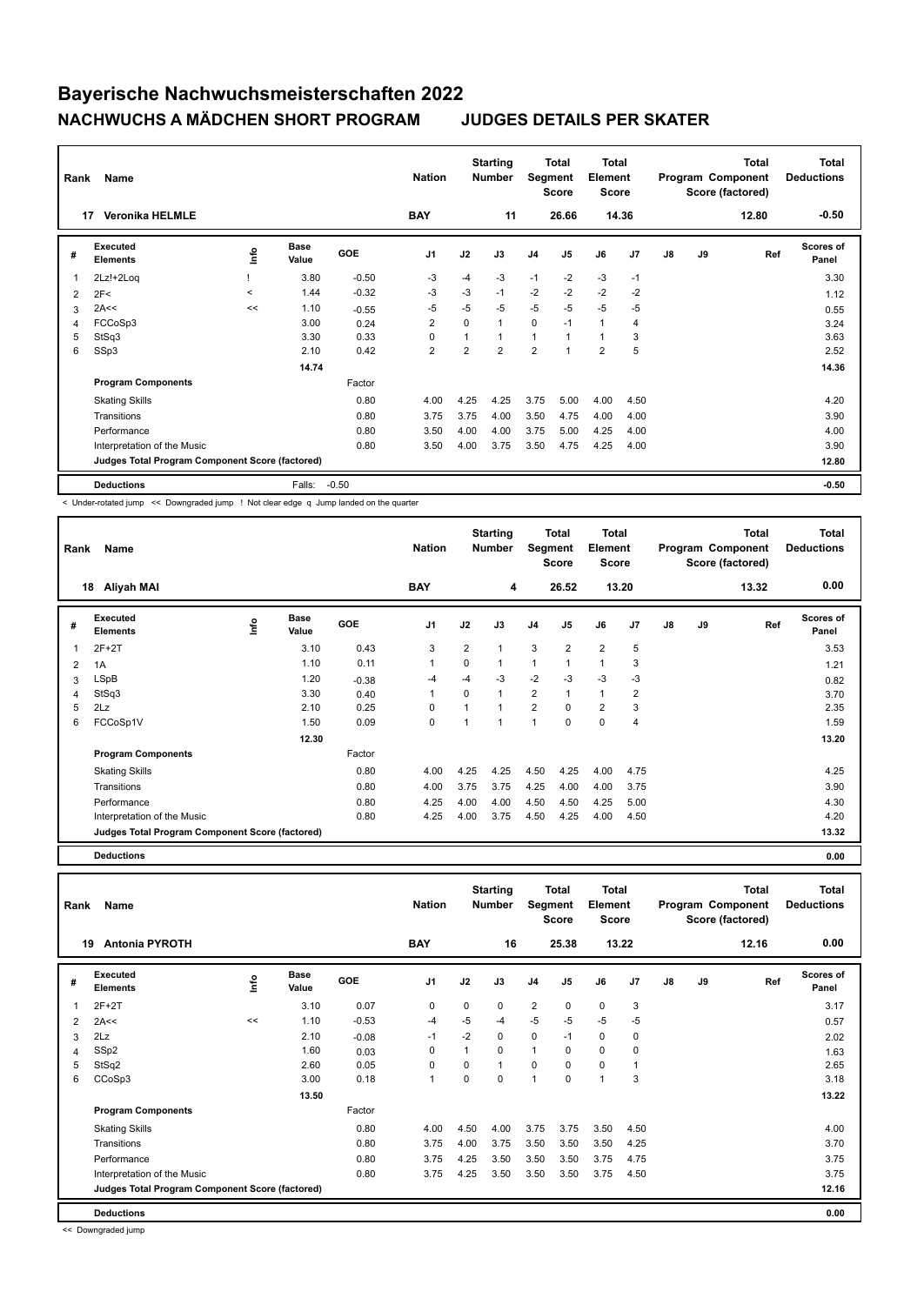| Rank           | Name                                            |         |                      |         | <b>Nation</b>  |                | <b>Starting</b><br><b>Number</b> | Segment        | <b>Total</b><br><b>Score</b> | <b>Total</b><br>Element<br><b>Score</b> |      |    |    | <b>Total</b><br>Program Component<br>Score (factored) | <b>Total</b><br><b>Deductions</b> |
|----------------|-------------------------------------------------|---------|----------------------|---------|----------------|----------------|----------------------------------|----------------|------------------------------|-----------------------------------------|------|----|----|-------------------------------------------------------|-----------------------------------|
|                | <b>Veronika HELMLE</b><br>17                    |         |                      |         | <b>BAY</b>     |                | 11                               |                | 26.66                        | 14.36                                   |      |    |    | 12.80                                                 | $-0.50$                           |
| #              | Executed<br><b>Elements</b>                     | lnfo    | <b>Base</b><br>Value | GOE     | J <sub>1</sub> | J2             | J3                               | J <sub>4</sub> | J5                           | J6                                      | J7   | J8 | J9 | Ref                                                   | Scores of<br>Panel                |
| $\overline{1}$ | 2Lz!+2Loq                                       |         | 3.80                 | $-0.50$ | $-3$           | -4             | $-3$                             | $-1$           | $-2$                         | $-3$                                    | $-1$ |    |    |                                                       | 3.30                              |
| 2              | 2F<                                             | $\prec$ | 1.44                 | $-0.32$ | -3             | $-3$           | $-1$                             | $-2$           | $-2$                         | $-2$                                    | $-2$ |    |    |                                                       | 1.12                              |
| 3              | 2A<<                                            | <<      | 1.10                 | $-0.55$ | -5             | $-5$           | $-5$                             | $-5$           | $-5$                         | $-5$                                    | -5   |    |    |                                                       | 0.55                              |
| 4              | FCCoSp3                                         |         | 3.00                 | 0.24    | 2              | $\Omega$       | $\mathbf{1}$                     | 0              | $-1$                         | $\mathbf{1}$                            | 4    |    |    |                                                       | 3.24                              |
| 5              | StSq3                                           |         | 3.30                 | 0.33    | 0              |                | $\mathbf{1}$                     | $\mathbf{1}$   |                              | $\mathbf{1}$                            | 3    |    |    |                                                       | 3.63                              |
| 6              | SSp3                                            |         | 2.10                 | 0.42    | $\overline{2}$ | $\overline{2}$ | $\overline{2}$                   | $\overline{2}$ |                              | $\overline{2}$                          | 5    |    |    |                                                       | 2.52                              |
|                |                                                 |         | 14.74                |         |                |                |                                  |                |                              |                                         |      |    |    |                                                       | 14.36                             |
|                | <b>Program Components</b>                       |         |                      | Factor  |                |                |                                  |                |                              |                                         |      |    |    |                                                       |                                   |
|                | <b>Skating Skills</b>                           |         |                      | 0.80    | 4.00           | 4.25           | 4.25                             | 3.75           | 5.00                         | 4.00                                    | 4.50 |    |    |                                                       | 4.20                              |
|                | Transitions                                     |         |                      | 0.80    | 3.75           | 3.75           | 4.00                             | 3.50           | 4.75                         | 4.00                                    | 4.00 |    |    |                                                       | 3.90                              |
|                | Performance                                     |         |                      | 0.80    | 3.50           | 4.00           | 4.00                             | 3.75           | 5.00                         | 4.25                                    | 4.00 |    |    |                                                       | 4.00                              |
|                | Interpretation of the Music                     |         |                      | 0.80    | 3.50           | 4.00           | 3.75                             | 3.50           | 4.75                         | 4.25                                    | 4.00 |    |    |                                                       | 3.90                              |
|                | Judges Total Program Component Score (factored) |         |                      |         |                |                |                                  |                |                              |                                         |      |    |    |                                                       | 12.80                             |
|                | <b>Deductions</b>                               |         | Falls:               | $-0.50$ |                |                |                                  |                |                              |                                         |      |    |    |                                                       | $-0.50$                           |

< Under-rotated jump << Downgraded jump ! Not clear edge q Jump landed on the quarter

| Rank | Name                                            |      |                      |            | <b>Nation</b>  |                | <b>Starting</b><br><b>Number</b> | Segment        | <b>Total</b><br><b>Score</b> | Total<br>Element<br><b>Score</b> |                |    |    | <b>Total</b><br>Program Component<br>Score (factored) | <b>Total</b><br><b>Deductions</b> |
|------|-------------------------------------------------|------|----------------------|------------|----------------|----------------|----------------------------------|----------------|------------------------------|----------------------------------|----------------|----|----|-------------------------------------------------------|-----------------------------------|
|      | Aliyah MAI<br>18                                |      |                      |            | <b>BAY</b>     |                | 4                                |                | 26.52                        |                                  | 13.20          |    |    | 13.32                                                 | 0.00                              |
| #    | Executed<br><b>Elements</b>                     | lnfo | <b>Base</b><br>Value | <b>GOE</b> | J <sub>1</sub> | J2             | J3                               | J <sub>4</sub> | J <sub>5</sub>               | J6                               | J <sub>7</sub> | J8 | J9 | Ref                                                   | <b>Scores of</b><br>Panel         |
| 1    | $2F+2T$                                         |      | 3.10                 | 0.43       | 3              | $\overline{2}$ | 1                                | 3              | $\overline{2}$               | $\overline{2}$                   | 5              |    |    |                                                       | 3.53                              |
| 2    | 1A                                              |      | 1.10                 | 0.11       | $\mathbf{1}$   | $\Omega$       | 1                                | 1              |                              | 1                                | 3              |    |    |                                                       | 1.21                              |
| 3    | <b>LSpB</b>                                     |      | 1.20                 | $-0.38$    | -4             | $-4$           | $-3$                             | $-2$           | $-3$                         | $-3$                             | $-3$           |    |    |                                                       | 0.82                              |
| 4    | StSq3                                           |      | 3.30                 | 0.40       | $\mathbf{1}$   | $\Omega$       | 1                                | $\overline{2}$ |                              | $\mathbf{1}$                     | $\overline{2}$ |    |    |                                                       | 3.70                              |
| 5    | 2Lz                                             |      | 2.10                 | 0.25       | 0              |                |                                  | $\overline{2}$ | $\Omega$                     | $\overline{2}$                   | 3              |    |    |                                                       | 2.35                              |
| 6    | FCCoSp1V                                        |      | 1.50                 | 0.09       | 0              |                |                                  | 1              | $\Omega$                     | $\Omega$                         | 4              |    |    |                                                       | 1.59                              |
|      |                                                 |      | 12.30                |            |                |                |                                  |                |                              |                                  |                |    |    |                                                       | 13.20                             |
|      | <b>Program Components</b>                       |      |                      | Factor     |                |                |                                  |                |                              |                                  |                |    |    |                                                       |                                   |
|      | <b>Skating Skills</b>                           |      |                      | 0.80       | 4.00           | 4.25           | 4.25                             | 4.50           | 4.25                         | 4.00                             | 4.75           |    |    |                                                       | 4.25                              |
|      | Transitions                                     |      |                      | 0.80       | 4.00           | 3.75           | 3.75                             | 4.25           | 4.00                         | 4.00                             | 3.75           |    |    |                                                       | 3.90                              |
|      | Performance                                     |      |                      | 0.80       | 4.25           | 4.00           | 4.00                             | 4.50           | 4.50                         | 4.25                             | 5.00           |    |    |                                                       | 4.30                              |
|      | Interpretation of the Music                     |      |                      | 0.80       | 4.25           | 4.00           | 3.75                             | 4.50           | 4.25                         | 4.00                             | 4.50           |    |    |                                                       | 4.20                              |
|      | Judges Total Program Component Score (factored) |      |                      |            |                |                |                                  |                |                              |                                  |                |    |    |                                                       | 13.32                             |

**Deductions 0.00**

**Total Deductions Total Program Component Score (factored) Total Element Score Total Segment Score Starting Rank Name Nation Number # Executed Elements Base Value GOE J1 J2 J3 J4 J5 J6 J7 J8 J9 Scores of Panel** 1 3.10 0.07 0 0 0 2 0 0 3 **Ref**  2F+2T 3.17 **Info 19 Antonia PYROTH BAY 16 25.38 13.22 12.16 0.00** 2 2A<< << 1.10 -0.53 -4 -5 -4 -5 -5 -5 -5 0.57  $3$  2Lz  $2.10$   $-0.08$   $-1$   $-2$  0 0  $-1$  0 0  $-1$   $2.02$ 4 SSp2 1.60 0.03 0 1 0 1 0 0 0 1.63 5 StSq2 2.60 0.05 0 0 1 0 0 0 1 2.65 6 CCoSp3 3.00 0.18 1 0 0 1 0 1 3 3.18  **13.50** 13.22 **Program Components**  Skating Skills **1.00 1.50** 4.00 4.50 4.00 3.75 3.75 3.50 4.50 Factor 0.80 4.00 Transitions 0.80 3.75 4.00 3.75 3.50 3.50 3.50 4.25 3.70 Performance 0.80 3.75 4.25 3.50 3.50 3.50 3.75 4.75 3.75 Interpretation of the Music 0.80 3.75 4.25 3.50 3.50 3.50 3.75 4.50 3.75 **Deductions 0.00 Judges Total Program Component Score (factored) 12.16**

<< Downgraded jump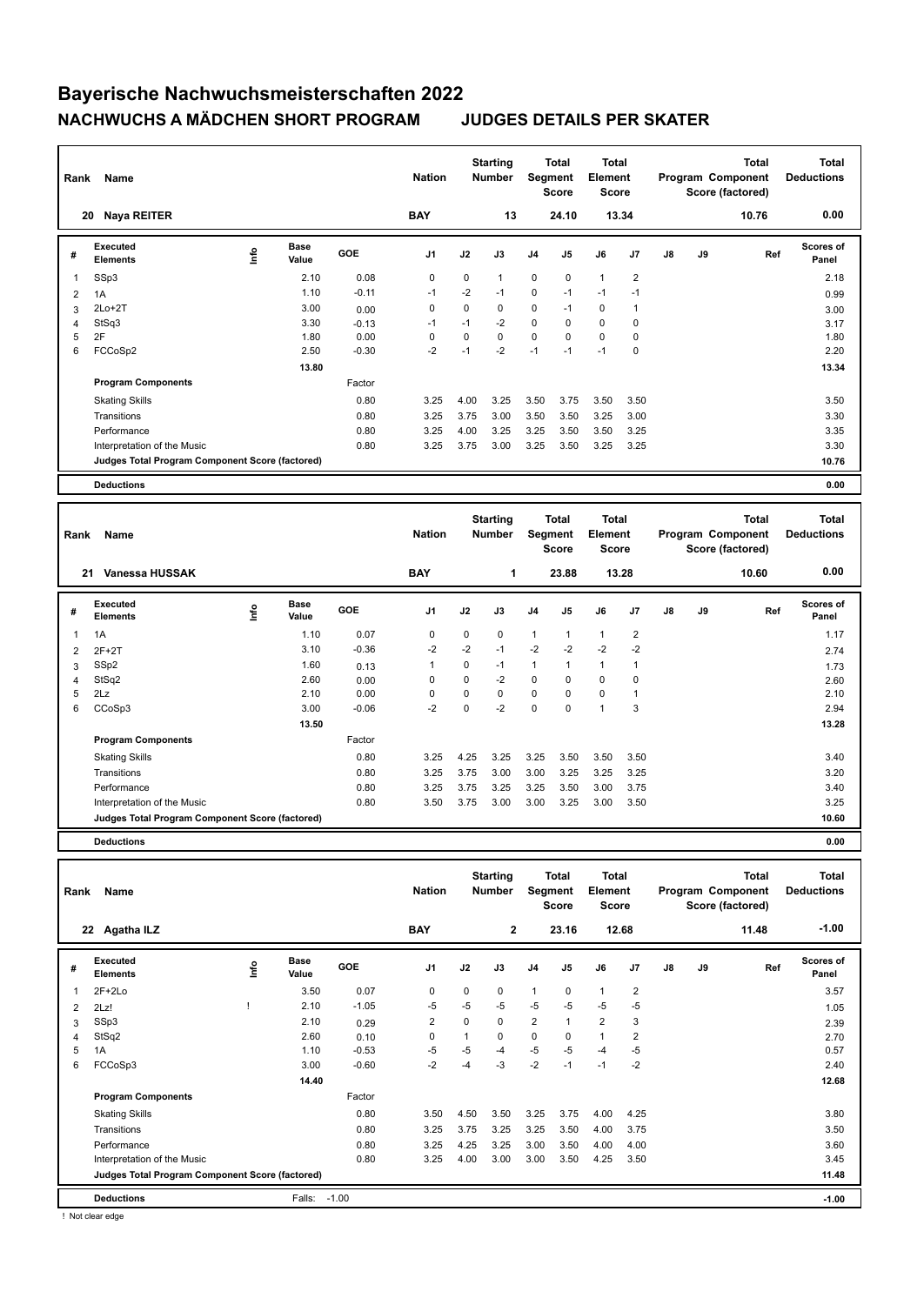| Rank | Name                                            |    |                      |            | <b>Nation</b>  |      | <b>Starting</b><br><b>Number</b> | Segment        | Total<br><b>Score</b> | <b>Total</b><br>Element<br><b>Score</b> |                |               |    | Total<br>Program Component<br>Score (factored) | <b>Total</b><br><b>Deductions</b> |
|------|-------------------------------------------------|----|----------------------|------------|----------------|------|----------------------------------|----------------|-----------------------|-----------------------------------------|----------------|---------------|----|------------------------------------------------|-----------------------------------|
| 20   | Naya REITER                                     |    |                      |            | <b>BAY</b>     |      | 13                               |                | 24.10                 | 13.34                                   |                |               |    | 10.76                                          | 0.00                              |
| #    | Executed<br><b>Elements</b>                     | ۴ů | <b>Base</b><br>Value | <b>GOE</b> | J <sub>1</sub> | J2   | J3                               | J <sub>4</sub> | J5                    | J6                                      | J <sub>7</sub> | $\mathsf{J}8$ | J9 | Ref                                            | <b>Scores of</b><br>Panel         |
| 1    | SSp3                                            |    | 2.10                 | 0.08       | 0              | 0    | 1                                | $\mathbf 0$    | 0                     | $\mathbf{1}$                            | 2              |               |    |                                                | 2.18                              |
| 2    | 1A                                              |    | 1.10                 | $-0.11$    | $-1$           | $-2$ | $-1$                             | $\mathbf 0$    | $-1$                  | $-1$                                    | $-1$           |               |    |                                                | 0.99                              |
| 3    | $2Lo+2T$                                        |    | 3.00                 | 0.00       | $\mathbf 0$    | 0    | 0                                | $\mathbf 0$    | $-1$                  | $\mathbf 0$                             | $\overline{1}$ |               |    |                                                | 3.00                              |
| 4    | StSq3                                           |    | 3.30                 | $-0.13$    | $-1$           | $-1$ | $-2$                             | $\mathbf 0$    | 0                     | 0                                       | $\mathbf 0$    |               |    |                                                | 3.17                              |
| 5    | 2F                                              |    | 1.80                 | 0.00       | 0              | 0    | 0                                | $\mathbf 0$    | $\mathbf 0$           | $\mathbf 0$                             | $\mathbf 0$    |               |    |                                                | 1.80                              |
| 6    | FCCoSp2                                         |    | 2.50                 | $-0.30$    | $-2$           | $-1$ | $-2$                             | $-1$           | $-1$                  | $-1$                                    | $\mathbf 0$    |               |    |                                                | 2.20                              |
|      |                                                 |    | 13.80                |            |                |      |                                  |                |                       |                                         |                |               |    |                                                | 13.34                             |
|      | <b>Program Components</b>                       |    |                      | Factor     |                |      |                                  |                |                       |                                         |                |               |    |                                                |                                   |
|      | <b>Skating Skills</b>                           |    |                      | 0.80       | 3.25           | 4.00 | 3.25                             | 3.50           | 3.75                  | 3.50                                    | 3.50           |               |    |                                                | 3.50                              |
|      | Transitions                                     |    |                      | 0.80       | 3.25           | 3.75 | 3.00                             | 3.50           | 3.50                  | 3.25                                    | 3.00           |               |    |                                                | 3.30                              |
|      | Performance                                     |    |                      | 0.80       | 3.25           | 4.00 | 3.25                             | 3.25           | 3.50                  | 3.50                                    | 3.25           |               |    |                                                | 3.35                              |
|      | Interpretation of the Music                     |    |                      | 0.80       | 3.25           | 3.75 | 3.00                             | 3.25           | 3.50                  | 3.25                                    | 3.25           |               |    |                                                | 3.30                              |
|      | Judges Total Program Component Score (factored) |    |                      |            |                |      |                                  |                |                       |                                         |                |               |    |                                                | 10.76                             |
|      | <b>Deductions</b>                               |    |                      |            |                |      |                                  |                |                       |                                         |                |               |    |                                                | 0.00                              |
|      |                                                 |    |                      |            |                |      |                                  |                |                       |                                         |                |               |    |                                                |                                   |

| Rank | Name                                            |             |                      |            | <b>Nation</b>  |      | <b>Starting</b><br><b>Number</b> |              | <b>Total</b><br>Segment<br><b>Score</b> | <b>Total</b><br>Element<br>Score |                |    |    | <b>Total</b><br>Program Component<br>Score (factored) | <b>Total</b><br><b>Deductions</b> |
|------|-------------------------------------------------|-------------|----------------------|------------|----------------|------|----------------------------------|--------------|-----------------------------------------|----------------------------------|----------------|----|----|-------------------------------------------------------|-----------------------------------|
| 21   | Vanessa HUSSAK                                  |             |                      |            | <b>BAY</b>     |      | 1                                |              | 23.88                                   |                                  | 13.28          |    |    | 10.60                                                 | 0.00                              |
| #    | <b>Executed</b><br><b>Elements</b>              | <u>lnfo</u> | <b>Base</b><br>Value | <b>GOE</b> | J <sub>1</sub> | J2   | J3                               | J4           | J <sub>5</sub>                          | J6                               | J7             | J8 | J9 | Ref                                                   | <b>Scores of</b><br>Panel         |
|      | 1A                                              |             | 1.10                 | 0.07       | 0              | 0    | $\mathbf 0$                      | $\mathbf{1}$ | $\mathbf{1}$                            | $\mathbf{1}$                     | $\overline{2}$ |    |    |                                                       | 1.17                              |
| 2    | $2F+2T$                                         |             | 3.10                 | $-0.36$    | $-2$           | $-2$ | $-1$                             | $-2$         | $-2$                                    | $-2$                             | $-2$           |    |    |                                                       | 2.74                              |
| 3    | SSp2                                            |             | 1.60                 | 0.13       | 1              | 0    | $-1$                             | $\mathbf{1}$ | 1                                       | 1                                |                |    |    |                                                       | 1.73                              |
| 4    | StSq2                                           |             | 2.60                 | 0.00       | 0              | 0    | $-2$                             | 0            | 0                                       | 0                                | 0              |    |    |                                                       | 2.60                              |
| 5    | 2Lz                                             |             | 2.10                 | 0.00       | $\Omega$       | 0    | 0                                | $\mathbf 0$  | 0                                       | $\mathbf 0$                      |                |    |    |                                                       | 2.10                              |
| 6    | CCoSp3                                          |             | 3.00                 | $-0.06$    | $-2$           | 0    | $-2$                             | $\mathbf 0$  | 0                                       | $\overline{1}$                   | 3              |    |    |                                                       | 2.94                              |
|      |                                                 |             | 13.50                |            |                |      |                                  |              |                                         |                                  |                |    |    |                                                       | 13.28                             |
|      | <b>Program Components</b>                       |             |                      | Factor     |                |      |                                  |              |                                         |                                  |                |    |    |                                                       |                                   |
|      | <b>Skating Skills</b>                           |             |                      | 0.80       | 3.25           | 4.25 | 3.25                             | 3.25         | 3.50                                    | 3.50                             | 3.50           |    |    |                                                       | 3.40                              |
|      | Transitions                                     |             |                      | 0.80       | 3.25           | 3.75 | 3.00                             | 3.00         | 3.25                                    | 3.25                             | 3.25           |    |    |                                                       | 3.20                              |
|      | Performance                                     |             |                      | 0.80       | 3.25           | 3.75 | 3.25                             | 3.25         | 3.50                                    | 3.00                             | 3.75           |    |    |                                                       | 3.40                              |
|      | Interpretation of the Music                     |             |                      | 0.80       | 3.50           | 3.75 | 3.00                             | 3.00         | 3.25                                    | 3.00                             | 3.50           |    |    |                                                       | 3.25                              |
|      | Judges Total Program Component Score (factored) |             |                      |            |                |      |                                  |              |                                         |                                  |                |    |    |                                                       | 10.60                             |
|      | <b>Deductions</b>                               |             |                      |            |                |      |                                  |              |                                         |                                  |                |    |    |                                                       | 0.00                              |

| Rank           | Name                                            |      |                      |         | <b>Nation</b>  |      | <b>Starting</b><br><b>Number</b> | Segment        | Total<br><b>Score</b> | Total<br>Element<br><b>Score</b> |      |               |    | Total<br>Program Component<br>Score (factored) | <b>Total</b><br><b>Deductions</b> |
|----------------|-------------------------------------------------|------|----------------------|---------|----------------|------|----------------------------------|----------------|-----------------------|----------------------------------|------|---------------|----|------------------------------------------------|-----------------------------------|
|                | Agatha ILZ<br>22                                |      |                      |         | <b>BAY</b>     |      | $\mathbf{2}$                     |                | 23.16                 | 12.68                            |      |               |    | 11.48                                          | $-1.00$                           |
| #              | Executed<br><b>Elements</b>                     | ١nfo | <b>Base</b><br>Value | GOE     | J <sub>1</sub> | J2   | J3                               | J <sub>4</sub> | J5                    | J6                               | J7   | $\mathsf{J}8$ | J9 | Ref                                            | <b>Scores of</b><br>Panel         |
| 1              | $2F+2Lo$                                        |      | 3.50                 | 0.07    | 0              | 0    | 0                                | $\mathbf{1}$   | 0                     | $\mathbf{1}$                     | 2    |               |    |                                                | 3.57                              |
| $\overline{2}$ | 2Lz!                                            |      | 2.10                 | $-1.05$ | -5             | $-5$ | $-5$                             | $-5$           | $-5$                  | $-5$                             | $-5$ |               |    |                                                | 1.05                              |
| 3              | SSp3                                            |      | 2.10                 | 0.29    | 2              | 0    | 0                                | $\overline{2}$ | $\overline{1}$        | $\overline{2}$                   | 3    |               |    |                                                | 2.39                              |
| 4              | StSq2                                           |      | 2.60                 | 0.10    | 0              |      | 0                                | 0              | 0                     | $\mathbf{1}$                     | 2    |               |    |                                                | 2.70                              |
| 5              | 1A                                              |      | 1.10                 | $-0.53$ | $-5$           | -5   | -4                               | $-5$           | $-5$                  | $-4$                             | $-5$ |               |    |                                                | 0.57                              |
| 6              | FCCoSp3                                         |      | 3.00                 | $-0.60$ | $-2$           | $-4$ | -3                               | $-2$           | $-1$                  | $-1$                             | $-2$ |               |    |                                                | 2.40                              |
|                |                                                 |      | 14.40                |         |                |      |                                  |                |                       |                                  |      |               |    |                                                | 12.68                             |
|                | <b>Program Components</b>                       |      |                      | Factor  |                |      |                                  |                |                       |                                  |      |               |    |                                                |                                   |
|                | <b>Skating Skills</b>                           |      |                      | 0.80    | 3.50           | 4.50 | 3.50                             | 3.25           | 3.75                  | 4.00                             | 4.25 |               |    |                                                | 3.80                              |
|                | Transitions                                     |      |                      | 0.80    | 3.25           | 3.75 | 3.25                             | 3.25           | 3.50                  | 4.00                             | 3.75 |               |    |                                                | 3.50                              |
|                | Performance                                     |      |                      | 0.80    | 3.25           | 4.25 | 3.25                             | 3.00           | 3.50                  | 4.00                             | 4.00 |               |    |                                                | 3.60                              |
|                | Interpretation of the Music                     |      |                      | 0.80    | 3.25           | 4.00 | 3.00                             | 3.00           | 3.50                  | 4.25                             | 3.50 |               |    |                                                | 3.45                              |
|                | Judges Total Program Component Score (factored) |      |                      |         |                |      |                                  |                |                       |                                  |      |               |    |                                                | 11.48                             |
|                | <b>Deductions</b>                               |      | Falls:               | $-1.00$ |                |      |                                  |                |                       |                                  |      |               |    |                                                | $-1.00$                           |

! Not clear edge